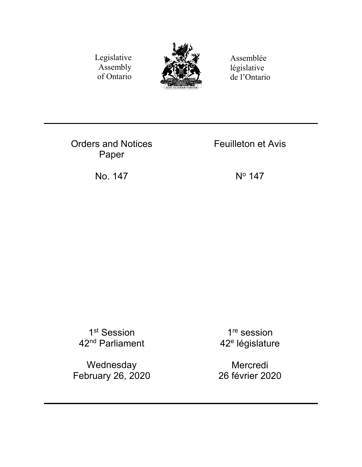Legislative Assembly of Ontario



Assemblée législative de l'Ontario

Orders and Notices Paper

Feuilleton et Avis

No. 147 No 147

1<sup>st</sup> Session 42nd Parliament

Wednesday February 26, 2020

1<sup>re</sup> session 42<sup>e</sup> législature

Mercredi 26 février 2020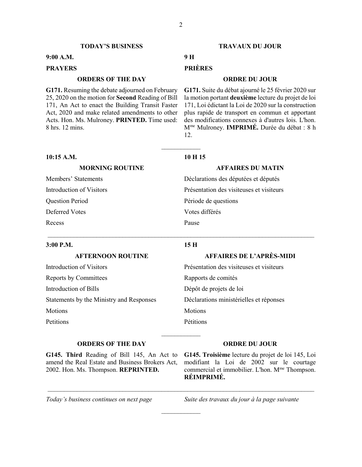#### **TODAY'S BUSINESS TRAVAUX DU JOUR**

### **9:00 A.M. 9 H**

# **PRAYERS PRIÈRES**

## **ORDERS OF THE DAY ORDRE DU JOUR**

**G171.** Resuming the debate adjourned on February 25, 2020 on the motion for **Second** Reading of Bill 171, An Act to enact the Building Transit Faster Act, 2020 and make related amendments to other Acts. Hon. Ms. Mulroney. **PRINTED.** Time used: 8 hrs. 12 mins.

**G171.** Suite du débat ajourné le 25 février 2020 sur la motion portant **deuxième** lecture du projet de loi 171, Loi édictant la Loi de 2020 sur la construction plus rapide de transport en commun et apportant des modifications connexes à d'autres lois. L'hon. Mme Mulroney. **IMPRIMÉ.** Durée du débat : 8 h 12.

#### **10:15 A.M. 10 H 15**

 $\overline{\phantom{a}}$ 

#### **MORNING ROUTINE AFFAIRES DU MATIN**

Members' Statements Déclarations des députées et députés Introduction of Visitors Présentation des visiteuses et visiteurs Question Period Période de questions Deferred Votes Votes différés Recess Pause

#### **3:00 P.M. 15 H**

 $\_$  , and the set of the set of the set of the set of the set of the set of the set of the set of the set of the set of the set of the set of the set of the set of the set of the set of the set of the set of the set of th

 $\frac{1}{2}$ 

\_\_\_\_\_\_\_\_\_\_\_\_\_\_\_\_\_\_\_\_\_\_\_\_\_\_\_\_\_\_\_\_\_\_\_\_\_\_\_\_\_\_\_\_\_\_\_\_\_\_\_\_\_\_\_\_\_\_\_\_\_\_\_\_\_\_\_\_\_\_\_\_\_\_\_\_\_\_\_\_\_\_

 $\frac{1}{2}$ 

# **AFTERNOON ROUTINE AFFAIRES DE L'APRÈS-MIDI** Introduction of Visitors Présentation des visiteuses et visiteurs

Introduction of Bills Dépôt de projets de loi

# Reports by Committees Rapports de comités Statements by the Ministry and Responses Déclarations ministérielles et réponses Motions Motions Motions Petitions Pétitions

### **ORDERS OF THE DAY ORDRE DU JOUR**

**G145. Third** Reading of Bill 145, An Act to amend the Real Estate and Business Brokers Act, 2002. Hon. Ms. Thompson. **REPRINTED.** 

**G145. Troisième** lecture du projet de loi 145, Loi modifiant la Loi de 2002 sur le courtage commercial et immobilier. L'hon. M<sup>me</sup> Thompson. **RÉIMPRIMÉ.** 

*Today's business continues on next page Suite des travaux du jour à la page suivante*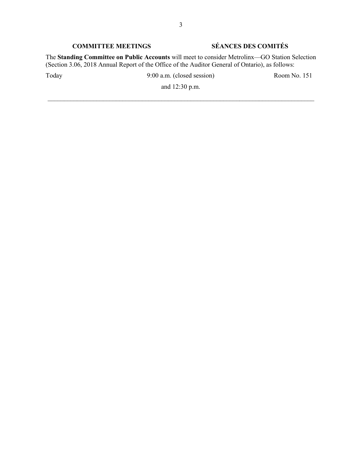# **COMMITTEE MEETINGS SÉANCES DES COMITÉS**

The **Standing Committee on Public Accounts** will meet to consider Metrolinx—GO Station Selection (Section 3.06, 2018 Annual Report of the Office of the Auditor General of Ontario), as follows:

Today 9:00 a.m. (closed session) Room No. 151

and 12:30 p.m.  $\_$  , and the set of the set of the set of the set of the set of the set of the set of the set of the set of the set of the set of the set of the set of the set of the set of the set of the set of the set of the set of th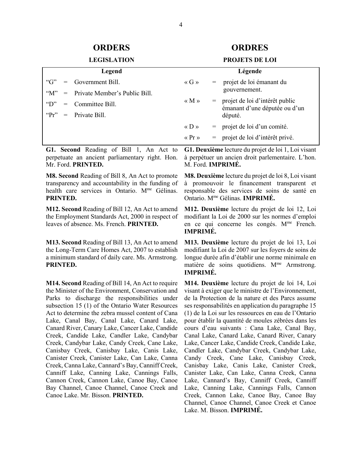# **ORDERS ORDRES**

#### **LEGISLATION PROJETS DE LOI**

| Legend        |     |                                   | Légende                               |     |                                                                 |
|---------------|-----|-----------------------------------|---------------------------------------|-----|-----------------------------------------------------------------|
| " $G$ "       | $=$ | Government Bill.                  | $\langle G \rangle$                   | $=$ | projet de loi émanant du                                        |
| " $M$ "       |     | $=$ Private Member's Public Bill. |                                       |     | gouvernement.                                                   |
| $\mathcal{L}$ |     | $=$ Committee Bill.               | « $M \nu$                             | $=$ | projet de loi d'intérêt public<br>émanant d'une députée ou d'un |
|               |     | " $Pr" = Private Bill$            |                                       |     | député.                                                         |
|               |     |                                   | $\langle \langle D \rangle \rangle$   |     | $=$ projet de loi d'un comité.                                  |
|               |     |                                   | $\langle \langle \Pr \rangle \rangle$ | $=$ | projet de loi d'intérêt privé.                                  |

**G1. Second** Reading of Bill 1, An Act to perpetuate an ancient parliamentary right. Hon. Mr. Ford. **PRINTED.** 

**M8. Second** Reading of Bill 8, An Act to promote transparency and accountability in the funding of health care services in Ontario. M<sup>me</sup> Gélinas. **PRINTED.** 

**M12. Second** Reading of Bill 12, An Act to amend the Employment Standards Act, 2000 in respect of leaves of absence. Ms. French. **PRINTED.** 

**M13. Second** Reading of Bill 13, An Act to amend the Long-Term Care Homes Act, 2007 to establish a minimum standard of daily care. Ms. Armstrong. **PRINTED.** 

**M14. Second** Reading of Bill 14, An Act to require the Minister of the Environment, Conservation and Parks to discharge the responsibilities under subsection 15 (1) of the Ontario Water Resources Act to determine the zebra mussel content of Cana Lake, Canal Bay, Canal Lake, Canard Lake, Canard River, Canary Lake, Cancer Lake, Candide Creek, Candide Lake, Candler Lake, Candybar Creek, Candybar Lake, Candy Creek, Cane Lake, Canisbay Creek, Canisbay Lake, Canis Lake, Canister Creek, Canister Lake, Can Lake, Canna Creek, Canna Lake, Cannard's Bay, Canniff Creek, Canniff Lake, Canning Lake, Cannings Falls, Cannon Creek, Cannon Lake, Canoe Bay, Canoe Bay Channel, Canoe Channel, Canoe Creek and Canoe Lake. Mr. Bisson. **PRINTED.** 

**G1. Deuxième** lecture du projet de loi 1, Loi visant à perpétuer un ancien droit parlementaire. L'hon. M. Ford. **IMPRIMÉ.** 

**M8. Deuxième** lecture du projet de loi 8, Loi visant à promouvoir le financement transparent et responsable des services de soins de santé en Ontario. Mme Gélinas. **IMPRIMÉ.** 

**M12. Deuxième** lecture du projet de loi 12, Loi modifiant la Loi de 2000 sur les normes d'emploi en ce qui concerne les congés. M<sup>me</sup> French. **IMPRIMÉ.** 

**M13. Deuxième** lecture du projet de loi 13, Loi modifiant la Loi de 2007 sur les foyers de soins de longue durée afin d'établir une norme minimale en matière de soins quotidiens. M<sup>me</sup> Armstrong. **IMPRIMÉ.** 

**M14. Deuxième** lecture du projet de loi 14, Loi visant à exiger que le ministre de l'Environnement, de la Protection de la nature et des Parcs assume ses responsabilités en application du paragraphe 15 (1) de la Loi sur les ressources en eau de l'Ontario pour établir la quantité de moules zébrées dans les cours d'eau suivants : Cana Lake, Canal Bay, Canal Lake, Canard Lake, Canard River, Canary Lake, Cancer Lake, Candide Creek, Candide Lake, Candler Lake, Candybar Creek, Candybar Lake, Candy Creek, Cane Lake, Canisbay Creek, Canisbay Lake, Canis Lake, Canister Creek, Canister Lake, Can Lake, Canna Creek, Canna Lake, Cannard's Bay, Canniff Creek, Canniff Lake, Canning Lake, Cannings Falls, Cannon Creek, Cannon Lake, Canoe Bay, Canoe Bay Channel, Canoe Channel, Canoe Creek et Canoe Lake. M. Bisson. **IMPRIMÉ.**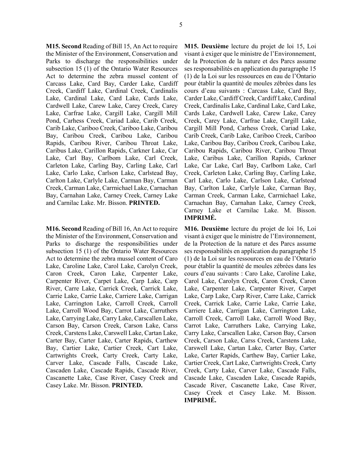**M15. Second** Reading of Bill 15, An Act to require the Minister of the Environment, Conservation and Parks to discharge the responsibilities under subsection 15 (1) of the Ontario Water Resources Act to determine the zebra mussel content of Carcass Lake, Card Bay, Carder Lake, Cardiff Creek, Cardiff Lake, Cardinal Creek, Cardinalis Lake, Cardinal Lake, Card Lake, Cards Lake, Cardwell Lake, Carew Lake, Carey Creek, Carey Lake, Carfrae Lake, Cargill Lake, Cargill Mill Pond, Carhess Creek, Cariad Lake, Carib Creek, Carib Lake, Cariboo Creek, Cariboo Lake, Caribou Bay, Caribou Creek, Caribou Lake, Caribou Rapids, Caribou River, Caribou Throat Lake, Caribus Lake, Carillon Rapids, Carkner Lake, Car Lake, Carl Bay, Carlbom Lake, Carl Creek, Carleton Lake, Carling Bay, Carling Lake, Carl Lake, Carlo Lake, Carlson Lake, Carlstead Bay, Carlton Lake, Carlyle Lake, Carman Bay, Carman Creek, Carman Lake, Carrnichael Lake, Carnachan Bay, Carnahan Lake, Carney Creek, Carney Lake

and Carnilac Lake. Mr. Bisson. **PRINTED.** 

**M16. Second** Reading of Bill 16, An Act to require the Minister of the Environment, Conservation and Parks to discharge the responsibilities under subsection 15 (1) of the Ontario Water Resources Act to determine the zebra mussel content of Caro Lake, Caroline Lake, Carol Lake, Carolyn Creek, Caron Creek, Caron Lake, Carpenter Lake, Carpenter River, Carpet Lake, Carp Lake, Carp River, Carre Lake, Carrick Creek, Carrick Lake, Carrie Lake, Carrie Lake, Carriere Lake, Carrigan Lake, Carrington Lake, Carroll Creek, Carroll Lake, Carroll Wood Bay, Carrot Lake, Carruthers Lake, Carrying Lake, Carry Lake, Carscallen Lake, Carson Bay, Carson Creek, Carson Lake, Carss Creek, Carstens Lake, Carswell Lake, Cartan Lake, Carter Bay, Carter Lake, Carter Rapids, Carthew Bay, Cartier Lake, Cartier Creek, Cart Lake, Cartwrights Creek, Carty Creek, Carty Lake, Carver Lake, Cascade Falls, Cascade Lake, Cascaden Lake, Cascade Rapids, Cascade River, Cascanette Lake, Case River, Casey Creek and Casey Lake. Mr. Bisson. **PRINTED.** 

**M15. Deuxième** lecture du projet de loi 15, Loi visant à exiger que le ministre de l'Environnement, de la Protection de la nature et des Parcs assume ses responsabilités en application du paragraphe 15 (1) de la Loi sur les ressources en eau de l'Ontario pour établir la quantité de moules zébrées dans les cours d'eau suivants : Carcass Lake, Card Bay, Carder Lake, Cardiff Creek, Cardiff Lake, Cardinal Creek, Cardinalis Lake, Cardinal Lake, Card Lake, Cards Lake, Cardwell Lake, Carew Lake, Carey Creek, Carey Lake, Carfrae Lake, Cargill Lake, Cargill Mill Pond, Carhess Creek, Cariad Lake, Carib Creek, Carib Lake, Cariboo Creek, Cariboo Lake, Caribou Bay, Caribou Creek, Caribou Lake, Caribou Rapids, Caribou River, Caribou Throat Lake, Caribus Lake, Carillon Rapids, Carkner Lake, Car Lake, Carl Bay, Carlbom Lake, Carl Creek, Carleton Lake, Carling Bay, Carling Lake, Carl Lake, Carlo Lake, Carlson Lake, Carlstead Bay, Carlton Lake, Carlyle Lake, Carman Bay, Carman Creek, Carman Lake, Carrnichael Lake, Carnachan Bay, Carnahan Lake, Carney Creek, Carney Lake et Carnilac Lake. M. Bisson. **IMPRIMÉ.** 

**M16. Deuxième** lecture du projet de loi 16, Loi visant à exiger que le ministre de l'Environnement, de la Protection de la nature et des Parcs assume ses responsabilités en application du paragraphe 15 (1) de la Loi sur les ressources en eau de l'Ontario pour établir la quantité de moules zébrées dans les cours d'eau suivants : Caro Lake, Caroline Lake, Carol Lake, Carolyn Creek, Caron Creek, Caron Lake, Carpenter Lake, Carpenter River, Carpet Lake, Carp Lake, Carp River, Carre Lake, Carrick Creek, Carrick Lake, Carrie Lake, Carrie Lake, Carriere Lake, Carrigan Lake, Carrington Lake, Carroll Creek, Carroll Lake, Carroll Wood Bay, Carrot Lake, Carruthers Lake, Carrying Lake, Carry Lake, Carscallen Lake, Carson Bay, Carson Creek, Carson Lake, Carss Creek, Carstens Lake, Carswell Lake, Cartan Lake, Carter Bay, Carter Lake, Carter Rapids, Carthew Bay, Cartier Lake, Cartier Creek, Cart Lake, Cartwrights Creek, Carty Creek, Carty Lake, Carver Lake, Cascade Falls, Cascade Lake, Cascaden Lake, Cascade Rapids, Cascade River, Cascanette Lake, Case River, Casey Creek et Casey Lake. M. Bisson. **IMPRIMÉ.**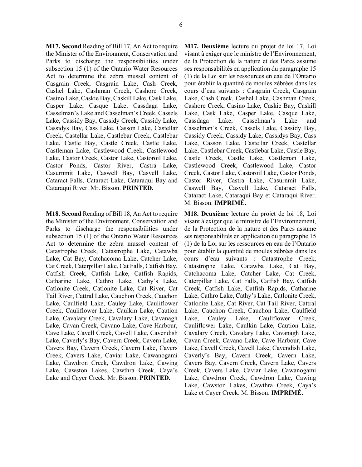**M17. Second** Reading of Bill 17, An Act to require the Minister of the Environment, Conservation and Parks to discharge the responsibilities under subsection 15 (1) of the Ontario Water Resources Act to determine the zebra mussel content of Casgrain Creek, Casgrain Lake, Cash Creek, Cashel Lake, Cashman Creek, Cashore Creek, Casino Lake, Caskie Bay, Caskill Lake, Cask Lake, Casper Lake, Casque Lake, Cassdaga Lake, Casselman's Lake and Casselman's Creek, Cassels Lake, Cassidy Bay, Cassidy Creek, Cassidy Lake, Cassidys Bay, Cass Lake, Casson Lake, Castellar Creek, Castellar Lake, Castlebar Creek, Castlebar Lake, Castle Bay, Castle Creek, Castle Lake, Castleman Lake, Castlewood Creek, Castlewood Lake, Castor Creek, Castor Lake, Castoroil Lake, Castor Ponds, Castor River, Castra Lake, Casurnmit Lake, Caswell Bay, Casvell Lake, Cataract Falls, Cataract Lake, Cataraqui Bay and Cataraqui River. Mr. Bisson. **PRINTED.** 

**M18. Second** Reading of Bill 18, An Act to require the Minister of the Environment, Conservation and Parks to discharge the responsibilities under subsection 15 (1) of the Ontario Water Resources Act to determine the zebra mussel content of Catastrophe Creek, Catastrophe Lake, Catawba Lake, Cat Bay, Catchacoma Lake, Catcher Lake, Cat Creek, Caterpillar Lake, Cat Falls, Catfish Bay, Catfish Creek, Catfish Lake, Catfish Rapids, Catharine Lake, Cathro Lake, Cathy's Lake, Catlonite Creek, Catlonite Lake, Cat River, Cat Tail River, Cattral Lake, Cauchon Creek, Cauchon Lake, Caulfield Lake, Cauley Lake, Cauliflower Creek, Cauliflower Lake, Caulkin Lake, Caution Lake, Cavalary Creek, Cavalary Lake, Cavanagh Lake, Cavan Creek, Cavano Lake, Cave Harbour, Cave Lake, Cavell Creek, Cavell Lake, Cavendish Lake, Caverly's Bay, Cavern Creek, Cavern Lake, Cavers Bay, Cavern Creek, Cavern Lake, Cavers Creek, Cavers Lake, Caviar Lake, Cawanogami Lake, Cawdron Creek, Cawdron Lake, Cawing Lake, Cawston Lakes, Cawthra Creek, Caya's Lake and Cayer Creek. Mr. Bisson. **PRINTED.** 

**M17. Deuxième** lecture du projet de loi 17, Loi visant à exiger que le ministre de l'Environnement, de la Protection de la nature et des Parcs assume ses responsabilités en application du paragraphe 15 (1) de la Loi sur les ressources en eau de l'Ontario pour établir la quantité de moules zébrées dans les cours d'eau suivants : Casgrain Creek, Casgrain Lake, Cash Creek, Cashel Lake, Cashman Creek, Cashore Creek, Casino Lake, Caskie Bay, Caskill Lake, Cask Lake, Casper Lake, Casque Lake, Cassdaga Lake, Casselman's Lake and Casselman's Creek, Cassels Lake, Cassidy Bay, Cassidy Creek, Cassidy Lake, Cassidys Bay, Cass Lake, Casson Lake, Castellar Creek, Castellar Lake, Castlebar Creek, Castlebar Lake, Castle Bay, Castle Creek, Castle Lake, Castleman Lake, Castlewood Creek, Castlewood Lake, Castor Creek, Castor Lake, Castoroil Lake, Castor Ponds, Castor River, Castra Lake, Casurnmit Lake, Caswell Bay, Casvell Lake, Cataract Falls, Cataract Lake, Cataraqui Bay et Cataraqui River. M. Bisson. **IMPRIMÉ.** 

**M18. Deuxième** lecture du projet de loi 18, Loi visant à exiger que le ministre de l'Environnement, de la Protection de la nature et des Parcs assume ses responsabilités en application du paragraphe 15 (1) de la Loi sur les ressources en eau de l'Ontario pour établir la quantité de moules zébrées dans les cours d'eau suivants : Catastrophe Creek, Catastrophe Lake, Catawba Lake, Cat Bay, Catchacoma Lake, Catcher Lake, Cat Creek, Caterpillar Lake, Cat Falls, Catfish Bay, Catfish Creek, Catfish Lake, Catfish Rapids, Catharine Lake, Cathro Lake, Cathy's Lake, Catlonite Creek, Catlonite Lake, Cat River, Cat Tail River, Cattral Lake, Cauchon Creek, Cauchon Lake, Caulfield Lake, Cauley Lake, Cauliflower Creek, Cauliflower Lake, Caulkin Lake, Caution Lake, Cavalary Creek, Cavalary Lake, Cavanagh Lake, Cavan Creek, Cavano Lake, Cave Harbour, Cave Lake, Cavell Creek, Cavell Lake, Cavendish Lake, Caverly's Bay, Cavern Creek, Cavern Lake, Cavers Bay, Cavern Creek, Cavern Lake, Cavers Creek, Cavers Lake, Caviar Lake, Cawanogami Lake, Cawdron Creek, Cawdron Lake, Cawing Lake, Cawston Lakes, Cawthra Creek, Caya's Lake et Cayer Creek. M. Bisson. **IMPRIMÉ.**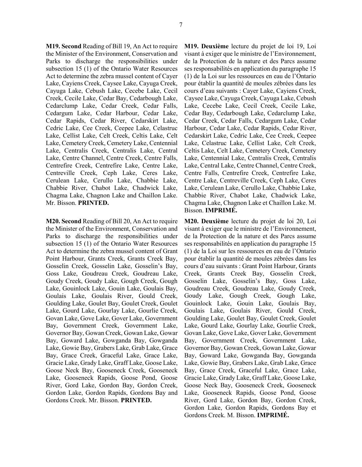**M19. Second** Reading of Bill 19, An Act to require the Minister of the Environment, Conservation and Parks to discharge the responsibilities under subsection 15 (1) of the Ontario Water Resources Act to determine the zebra mussel content of Cayer Lake, Cayiens Creek, Caysee Lake, Cayuga Creek, Cayuga Lake, Cebush Lake, Cecebe Lake, Cecil Creek, Cecile Lake, Cedar Bay, Cedarbough Lake, Cedarclump Lake, Cedar Creek, Cedar Falls, Cedargum Lake, Cedar Harbour, Cedar Lake, Cedar Rapids, Cedar River, Cedarskirt Lake, Cedric Lake, Cee Creek, Ceepee Lake, Celastruc Lake, Cellist Lake, Celt Creek, Celtis Lake, Celt Lake, Cemetery Creek, Cemetery Lake, Centennial Lake, Centralis Creek, Centralis Lake, Central Lake, Centre Channel, Centre Creek, Centre Falls, Centrefire Creek, Centrefire Lake, Centre Lake, Centreville Creek, Ceph Lake, Ceres Lake, Cerulean Lake, Cerullo Lake, Chabbie Lake, Chabbie River, Chabot Lake, Chadwick Lake, Chagma Lake, Chagnon Lake and Chaillon Lake. Mr. Bisson. **PRINTED.** 

**M20. Second** Reading of Bill 20, An Act to require the Minister of the Environment, Conservation and Parks to discharge the responsibilities under subsection 15 (1) of the Ontario Water Resources Act to determine the zebra mussel content of Grant Point Harbour, Grants Creek, Grants Creek Bay, Gosselin Creek, Gosselin Lake, Gosselin's Bay, Goss Lake, Goudreau Creek, Goudreau Lake, Goudy Creek, Goudy Lake, Gough Creek, Gough Lake, Gouinlock Lake, Gouin Lake, Goulais Bay, Goulais Lake, Goulais River, Gould Creek, Goulding Lake, Goulet Bay, Goulet Creek, Goulet Lake, Gourd Lake, Gourlay Lake, Gourlie Creek, Govan Lake, Gove Lake, Gover Lake, Government Bay, Government Creek, Government Lake, Governor Bay, Gowan Creek, Gowan Lake, Gowar Bay, Goward Lake, Gowganda Bay, Gowganda Lake, Gowie Bay, Grabers Lake, Grab Lake, Grace Bay, Grace Creek, Graceful Lake, Grace Lake, Gracie Lake, Grady Lake, Graff Lake, Goose Lake, Goose Neck Bay, Gooseneck Creek, Gooseneck Lake, Gooseneck Rapids, Goose Pond, Goose River, Gord Lake, Gordon Bay, Gordon Creek, Gordon Lake, Gordon Rapids, Gordons Bay and Gordons Creek. Mr. Bisson. **PRINTED.** 

**M19. Deuxième** lecture du projet de loi 19, Loi visant à exiger que le ministre de l'Environnement, de la Protection de la nature et des Parcs assume ses responsabilités en application du paragraphe 15 (1) de la Loi sur les ressources en eau de l'Ontario pour établir la quantité de moules zébrées dans les cours d'eau suivants : Cayer Lake, Cayiens Creek, Caysee Lake, Cayuga Creek, Cayuga Lake, Cebush Lake, Cecebe Lake, Cecil Creek, Cecile Lake, Cedar Bay, Cedarbough Lake, Cedarclump Lake, Cedar Creek, Cedar Falls, Cedargum Lake, Cedar Harbour, Cedar Lake, Cedar Rapids, Cedar River, Cedarskirt Lake, Cedric Lake, Cee Creek, Ceepee Lake, Celastruc Lake, Cellist Lake, Celt Creek, Celtis Lake, Celt Lake, Cemetery Creek, Cemetery Lake, Centennial Lake, Centralis Creek, Centralis Lake, Central Lake, Centre Channel, Centre Creek, Centre Falls, Centrefire Creek, Centrefire Lake, Centre Lake, Centreville Creek, Ceph Lake, Ceres Lake, Cerulean Lake, Cerullo Lake, Chabbie Lake, Chabbie River, Chabot Lake, Chadwick Lake, Chagma Lake, Chagnon Lake et Chaillon Lake. M. Bisson. **IMPRIMÉ.** 

**M20. Deuxième** lecture du projet de loi 20, Loi visant à exiger que le ministre de l'Environnement, de la Protection de la nature et des Parcs assume ses responsabilités en application du paragraphe 15 (1) de la Loi sur les ressources en eau de l'Ontario pour établir la quantité de moules zébrées dans les cours d'eau suivants : Grant Point Harbour, Grants Creek, Grants Creek Bay, Gosselin Creek, Gosselin Lake, Gosselin's Bay, Goss Lake, Goudreau Creek, Goudreau Lake, Goudy Creek, Goudy Lake, Gough Creek, Gough Lake, Gouinlock Lake, Gouin Lake, Goulais Bay, Goulais Lake, Goulais River, Gould Creek, Goulding Lake, Goulet Bay, Goulet Creek, Goulet Lake, Gourd Lake, Gourlay Lake, Gourlie Creek, Govan Lake, Gove Lake, Gover Lake, Government Bay, Government Creek, Government Lake, Governor Bay, Gowan Creek, Gowan Lake, Gowar Bay, Goward Lake, Gowganda Bay, Gowganda Lake, Gowie Bay, Grabers Lake, Grab Lake, Grace Bay, Grace Creek, Graceful Lake, Grace Lake, Gracie Lake, Grady Lake, Graff Lake, Goose Lake, Goose Neck Bay, Gooseneck Creek, Gooseneck Lake, Gooseneck Rapids, Goose Pond, Goose River, Gord Lake, Gordon Bay, Gordon Creek, Gordon Lake, Gordon Rapids, Gordons Bay et Gordons Creek. M. Bisson. **IMPRIMÉ.**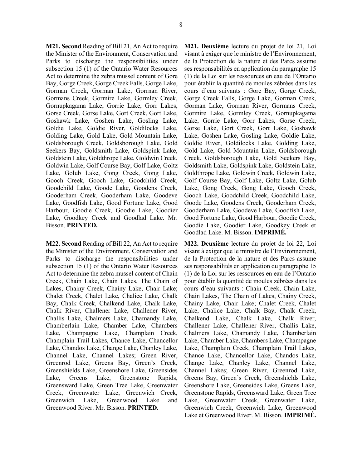**M21. Second** Reading of Bill 21, An Act to require the Minister of the Environment, Conservation and Parks to discharge the responsibilities under subsection 15 (1) of the Ontario Water Resources Act to determine the zebra mussel content of Gore Bay, Gorge Creek, Gorge Creek Falls, Gorge Lake, Gorman Creek, Gorman Lake, Gorrnan River, Gormans Creek, Gormire Lake, Gormley Creek, Gornupkagama Lake, Gorrie Lake, Gorr Lakes, Gorse Creek, Gorse Lake, Gort Creek, Gort Lake, Goshawk Lake, Goshen Lake, Gosling Lake, Goldie Lake, Goldie River, Goldilocks Lake, Golding Lake, Gold Lake, Gold Mountain Lake, Goldsborough Creek, Goldsborough Lake, Gold Seekers Bay, Goldsmith Lake, Goldspink Lake, Goldstein Lake, Goldthrope Lake, Goldwin Creek, Goldwin Lake, Golf Course Bay, Golf Lake, Goltz Lake, Golub Lake, Gong Creek, Gong Lake, Gooch Creek, Gooch Lake, Goodchild Creek, Goodchild Lake, Goode Lake, Goodens Creek, Gooderham Creek, Gooderham Lake, Goodeve Lake, Goodfish Lake, Good Fortune Lake, Good Harbour, Goodie Creek, Goodie Lake, Goodier Lake, Goodkey Creek and Goodlad Lake. Mr. Bisson. **PRINTED.** 

**M22. Second** Reading of Bill 22, An Act to require the Minister of the Environment, Conservation and Parks to discharge the responsibilities under subsection 15 (1) of the Ontario Water Resources Act to determine the zebra mussel content of Chain Creek, Chain Lake, Chain Lakes, The Chain of Lakes, Chainy Creek, Chainy Lake, Chair Lake; Chalet Creek, Chalet Lake, Chalice Lake, Chalk Bay, Chalk Creek, Chalkend Lake, Chalk Lake, Chalk River, Challener Lake, Challener River, Challis Lake, Chalmers Lake, Chamandy Lake, Chamberlain Lake, Chamber Lake, Chambers Lake, Champagne Lake, Champlain Creek, Champlain Trail Lakes, Chance Lake, Chancellor Lake, Chandos Lake, Change Lake, Chanley Lake, Channel Lake, Channel Lakes; Green River, Greenrod Lake, Greens Bay, Green's Creek, Greenshields Lake, Greenshore Lake, Greensides Lake, Greens Lake, Greenstone Rapids, Greensward Lake, Green Tree Lake, Greenwater Creek, Greenwater Lake, Greenwich Creek, Greenwich Lake, Greenwood Lake and Greenwood River. Mr. Bisson. **PRINTED.** 

**M21. Deuxième** lecture du projet de loi 21, Loi visant à exiger que le ministre de l'Environnement, de la Protection de la nature et des Parcs assume ses responsabilités en application du paragraphe 15 (1) de la Loi sur les ressources en eau de l'Ontario pour établir la quantité de moules zébrées dans les cours d'eau suivants : Gore Bay, Gorge Creek, Gorge Creek Falls, Gorge Lake, Gorman Creek, Gorman Lake, Gorrnan River, Gormans Creek, Gormire Lake, Gormley Creek, Gornupkagama Lake, Gorrie Lake, Gorr Lakes, Gorse Creek, Gorse Lake, Gort Creek, Gort Lake, Goshawk Lake, Goshen Lake, Gosling Lake, Goldie Lake, Goldie River, Goldilocks Lake, Golding Lake, Gold Lake, Gold Mountain Lake, Goldsborough Creek, Goldsborough Lake, Gold Seekers Bay, Goldsmith Lake, Goldspink Lake, Goldstein Lake, Goldthrope Lake, Goldwin Creek, Goldwin Lake, Golf Course Bay, Golf Lake, Goltz Lake, Golub Lake, Gong Creek, Gong Lake, Gooch Creek, Gooch Lake, Goodchild Creek, Goodchild Lake, Goode Lake, Goodens Creek, Gooderham Creek, Gooderham Lake, Goodeve Lake, Goodfish Lake, Good Fortune Lake, Good Harbour, Goodie Creek, Goodie Lake, Goodier Lake, Goodkey Creek et Goodlad Lake. M. Bisson. **IMPRIMÉ.** 

**M22. Deuxième** lecture du projet de loi 22, Loi visant à exiger que le ministre de l'Environnement, de la Protection de la nature et des Parcs assume ses responsabilités en application du paragraphe 15 (1) de la Loi sur les ressources en eau de l'Ontario pour établir la quantité de moules zébrées dans les cours d'eau suivants : Chain Creek, Chain Lake, Chain Lakes, The Chain of Lakes, Chainy Creek, Chainy Lake, Chair Lake; Chalet Creek, Chalet Lake, Chalice Lake, Chalk Bay, Chalk Creek, Chalkend Lake, Chalk Lake, Chalk River, Challener Lake, Challener River, Challis Lake, Chalmers Lake, Chamandy Lake, Chamberlain Lake, Chamber Lake, Chambers Lake, Champagne Lake, Champlain Creek, Champlain Trail Lakes, Chance Lake, Chancellor Lake, Chandos Lake, Change Lake, Chanley Lake, Channel Lake, Channel Lakes; Green River, Greenrod Lake, Greens Bay, Green's Creek, Greenshields Lake, Greenshore Lake, Greensides Lake, Greens Lake, Greenstone Rapids, Greensward Lake, Green Tree Lake, Greenwater Creek, Greenwater Lake, Greenwich Creek, Greenwich Lake, Greenwood Lake et Greenwood River. M. Bisson. **IMPRIMÉ.**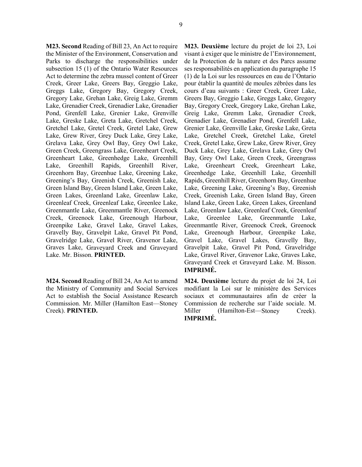**M23. Second** Reading of Bill 23, An Act to require the Minister of the Environment, Conservation and Parks to discharge the responsibilities under subsection 15 (1) of the Ontario Water Resources Act to determine the zebra mussel content of Greer Creek, Greer Lake, Greers Bay, Greggio Lake, Greggs Lake, Gregory Bay, Gregory Creek, Gregory Lake, Grehan Lake, Greig Lake, Gremm Lake, Grenadier Creek, Grenadier Lake, Grenadier Pond, Grenfell Lake, Grenier Lake, Grenville Lake, Greske Lake, Greta Lake, Gretchel Creek, Gretchel Lake, Gretel Creek, Gretel Lake, Grew Lake, Grew River, Grey Duck Lake, Grey Lake, Grelava Lake, Grey Owl Bay, Grey Owl Lake, Green Creek, Greengrass Lake, Greenheart Creek, Greenheart Lake, Greenhedge Lake, Greenhill Lake, Greenhill Rapids, Greenhill River, Greenhorn Bay, Greenhue Lake, Greening Lake, Greening's Bay, Greenish Creek, Greenish Lake, Green Island Bay, Green Island Lake, Green Lake, Green Lakes, Greenland Lake, Greenlaw Lake, Greenleaf Creek, Greenleaf Lake, Greenlee Lake, Greenmantle Lake, Greenmantle River, Greenock Creek, Greenock Lake, Greenough Harbour, Greenpike Lake, Gravel Lake, Gravel Lakes, Gravelly Bay, Gravelpit Lake, Gravel Pit Pond, Gravelridge Lake, Gravel River, Gravenor Lake, Graves Lake, Graveyard Creek and Graveyard Lake. Mr. Bisson. **PRINTED.** 

**M24. Second** Reading of Bill 24, An Act to amend the Ministry of Community and Social Services Act to establish the Social Assistance Research Commission. Mr. Miller (Hamilton East—Stoney Creek). **PRINTED.** 

**M23. Deuxième** lecture du projet de loi 23, Loi visant à exiger que le ministre de l'Environnement, de la Protection de la nature et des Parcs assume ses responsabilités en application du paragraphe 15 (1) de la Loi sur les ressources en eau de l'Ontario pour établir la quantité de moules zébrées dans les cours d'eau suivants : Greer Creek, Greer Lake, Greers Bay, Greggio Lake, Greggs Lake, Gregory Bay, Gregory Creek, Gregory Lake, Grehan Lake, Greig Lake, Gremm Lake, Grenadier Creek, Grenadier Lake, Grenadier Pond, Grenfell Lake, Grenier Lake, Grenville Lake, Greske Lake, Greta Lake, Gretchel Creek, Gretchel Lake, Gretel Creek, Gretel Lake, Grew Lake, Grew River, Grey Duck Lake, Grey Lake, Grelava Lake, Grey Owl Bay, Grey Owl Lake, Green Creek, Greengrass Lake, Greenheart Creek, Greenheart Lake, Greenhedge Lake, Greenhill Lake, Greenhill Rapids, Greenhill River, Greenhorn Bay, Greenhue Lake, Greening Lake, Greening's Bay, Greenish Creek, Greenish Lake, Green Island Bay, Green Island Lake, Green Lake, Green Lakes, Greenland Lake, Greenlaw Lake, Greenleaf Creek, Greenleaf Lake, Greenlee Lake, Greenmantle Lake, Greenmantle River, Greenock Creek, Greenock Lake, Greenough Harbour, Greenpike Lake, Gravel Lake, Gravel Lakes, Gravelly Bay, Gravelpit Lake, Gravel Pit Pond, Gravelridge Lake, Gravel River, Gravenor Lake, Graves Lake, Graveyard Creek et Graveyard Lake. M. Bisson. **IMPRIMÉ.** 

**M24. Deuxième** lecture du projet de loi 24, Loi modifiant la Loi sur le ministère des Services sociaux et communautaires afin de créer la Commission de recherche sur l'aide sociale. M. Miller (Hamilton-Est—Stoney Creek). **IMPRIMÉ.**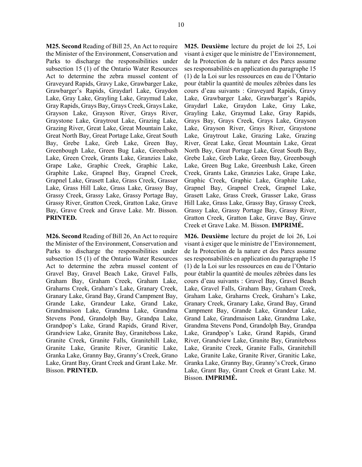**M25. Second** Reading of Bill 25, An Act to require the Minister of the Environment, Conservation and Parks to discharge the responsibilities under subsection 15 (1) of the Ontario Water Resources Act to determine the zebra mussel content of Graveyard Rapids, Gravy Lake, Grawbarger Lake, Grawbarger's Rapids, Graydarl Lake, Graydon Lake, Gray Lake, Grayling Lake, Graymud Lake, Gray Rapids, Grays Bay, Grays Creek, Grays Lake, Grayson Lake, Grayson River, Grays River, Graystone Lake, Graytrout Lake, Grazing Lake, Grazing River, Great Lake, Great Mountain Lake, Great North Bay, Great Portage Lake, Great South Bay, Grebe Lake, Greb Lake, Green Bay, Greenbough Lake, Green Bug Lake, Greenbush Lake, Green Creek, Grants Lake, Granzies Lake, Grape Lake, Graphic Creek, Graphic Lake, Graphite Lake, Grapnel Bay, Grapnel Creek, Grapnel Lake, Grasett Lake, Grass Creek, Grasser Lake, Grass Hill Lake, Grass Lake, Grassy Bay, Grassy Creek, Grassy Lake, Grassy Portage Bay, Grassy River, Gratton Creek, Gratton Lake, Grave Bay, Grave Creek and Grave Lake. Mr. Bisson. **PRINTED.** 

**M26. Second** Reading of Bill 26, An Act to require the Minister of the Environment, Conservation and Parks to discharge the responsibilities under subsection 15 (1) of the Ontario Water Resources Act to determine the zebra mussel content of Gravel Bay, Gravel Beach Lake, Gravel Falls, Graham Bay, Graham Creek, Graham Lake, Graharns Creek, Graharn's Lake, Granary Creek, Granary Lake, Grand Bay, Grand Campment Bay, Grande Lake, Grandeur Lake, Grand Lake, Grandmaison Lake, Grandma Lake, Grandma Stevens Pond, Grandolph Bay, Grandpa Lake, Grandpop's Lake, Grand Rapids, Grand River, Grandview Lake, Granite Bay, Graniteboss Lake, Granite Creek, Granite Falls, Granitehill Lake, Granite Lake, Granite River, Granitic Lake, Granka Lake, Granny Bay, Granny's Creek, Grano Lake, Grant Bay, Grant Creek and Grant Lake. Mr. Bisson. **PRINTED.** 

**M25. Deuxième** lecture du projet de loi 25, Loi visant à exiger que le ministre de l'Environnement, de la Protection de la nature et des Parcs assume ses responsabilités en application du paragraphe 15 (1) de la Loi sur les ressources en eau de l'Ontario pour établir la quantité de moules zébrées dans les cours d'eau suivants : Graveyard Rapids, Gravy Lake, Grawbarger Lake, Grawbarger's Rapids, Graydarl Lake, Graydon Lake, Gray Lake, Grayling Lake, Graymud Lake, Gray Rapids, Grays Bay, Grays Creek, Grays Lake, Grayson Lake, Grayson River, Grays River, Graystone Lake, Graytrout Lake, Grazing Lake, Grazing River, Great Lake, Great Mountain Lake, Great North Bay, Great Portage Lake, Great South Bay, Grebe Lake, Greb Lake, Green Bay, Greenbough Lake, Green Bug Lake, Greenbush Lake, Green Creek, Grants Lake, Granzies Lake, Grape Lake, Graphic Creek, Graphic Lake, Graphite Lake, Grapnel Bay, Grapnel Creek, Grapnel Lake, Grasett Lake, Grass Creek, Grasser Lake, Grass Hill Lake, Grass Lake, Grassy Bay, Grassy Creek, Grassy Lake, Grassy Portage Bay, Grassy River, Gratton Creek, Gratton Lake, Grave Bay, Grave Creek et Grave Lake. M. Bisson. **IMPRIMÉ.** 

**M26. Deuxième** lecture du projet de loi 26, Loi visant à exiger que le ministre de l'Environnement, de la Protection de la nature et des Parcs assume ses responsabilités en application du paragraphe 15 (1) de la Loi sur les ressources en eau de l'Ontario pour établir la quantité de moules zébrées dans les cours d'eau suivants : Gravel Bay, Gravel Beach Lake, Gravel Falls, Graham Bay, Graham Creek, Graham Lake, Graharns Creek, Graharn's Lake, Granary Creek, Granary Lake, Grand Bay, Grand Campment Bay, Grande Lake, Grandeur Lake, Grand Lake, Grandmaison Lake, Grandma Lake, Grandma Stevens Pond, Grandolph Bay, Grandpa Lake, Grandpop's Lake, Grand Rapids, Grand River, Grandview Lake, Granite Bay, Graniteboss Lake, Granite Creek, Granite Falls, Granitehill Lake, Granite Lake, Granite River, Granitic Lake, Granka Lake, Granny Bay, Granny's Creek, Grano Lake, Grant Bay, Grant Creek et Grant Lake. M. Bisson. **IMPRIMÉ.**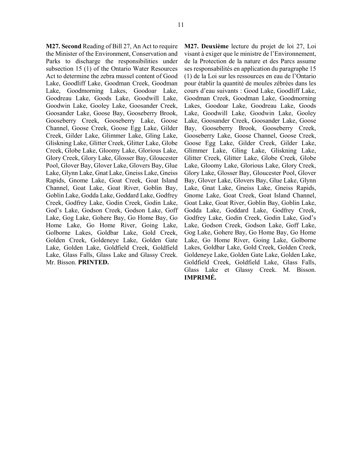**M27. Second** Reading of Bill 27, An Act to require the Minister of the Environment, Conservation and Parks to discharge the responsibilities under subsection 15 (1) of the Ontario Water Resources Act to determine the zebra mussel content of Good Lake, Goodliff Lake, Goodman Creek, Goodman Lake, Goodmorning Lakes, Goodoar Lake, Goodreau Lake, Goods Lake, Goodwill Lake, Goodwin Lake, Gooley Lake, Goosander Creek, Goosander Lake, Goose Bay, Gooseberry Brook, Gooseberry Creek, Gooseberry Lake, Goose Channel, Goose Creek, Goose Egg Lake, Gilder Creek, Gilder Lake, Glimmer Lake, Gling Lake, Gliskning Lake, Glitter Creek, Glitter Lake, Globe Creek, Globe Lake, Gloomy Lake, Glorious Lake, Glory Creek, Glory Lake, Glosser Bay, Gloucester Pool, Glover Bay, Glover Lake, Glovers Bay, Glue Lake, Glynn Lake, Gnat Lake, Gneiss Lake, Gneiss Rapids, Gnome Lake, Goat Creek, Goat Island Channel, Goat Lake, Goat River, Goblin Bay, Goblin Lake, Godda Lake, Goddard Lake, Godfrey Creek, Godfrey Lake, Godin Creek, Godin Lake, God's Lake, Godson Creek, Godson Lake, Goff Lake, Gog Lake, Gohere Bay, Go Home Bay, Go Home Lake, Go Home River, Going Lake, Golborne Lakes, Goldbar Lake, Gold Creek, Golden Creek, Goldeneye Lake, Golden Gate Lake, Golden Lake, Goldfield Creek, Goldfield Lake, Glass Falls, Glass Lake and Glassy Creek. Mr. Bisson. **PRINTED.** 

**M27. Deuxième** lecture du projet de loi 27, Loi visant à exiger que le ministre de l'Environnement, de la Protection de la nature et des Parcs assume ses responsabilités en application du paragraphe 15 (1) de la Loi sur les ressources en eau de l'Ontario pour établir la quantité de moules zébrées dans les cours d'eau suivants : Good Lake, Goodliff Lake, Goodman Creek, Goodman Lake, Goodmorning Lakes, Goodoar Lake, Goodreau Lake, Goods Lake, Goodwill Lake, Goodwin Lake, Gooley Lake, Goosander Creek, Goosander Lake, Goose Bay, Gooseberry Brook, Gooseberry Creek, Gooseberry Lake, Goose Channel, Goose Creek, Goose Egg Lake, Gilder Creek, Gilder Lake, Glimmer Lake, Gling Lake, Gliskning Lake, Glitter Creek, Glitter Lake, Globe Creek, Globe Lake, Gloomy Lake, Glorious Lake, Glory Creek, Glory Lake, Glosser Bay, Gloucester Pool, Glover Bay, Glover Lake, Glovers Bay, Glue Lake, Glynn Lake, Gnat Lake, Gneiss Lake, Gneiss Rapids, Gnome Lake, Goat Creek, Goat Island Channel, Goat Lake, Goat River, Goblin Bay, Goblin Lake, Godda Lake, Goddard Lake, Godfrey Creek, Godfrey Lake, Godin Creek, Godin Lake, God's Lake, Godson Creek, Godson Lake, Goff Lake, Gog Lake, Gohere Bay, Go Home Bay, Go Home Lake, Go Home River, Going Lake, Golborne Lakes, Goldbar Lake, Gold Creek, Golden Creek, Goldeneye Lake, Golden Gate Lake, Golden Lake, Goldfield Creek, Goldfield Lake, Glass Falls, Glass Lake et Glassy Creek. M. Bisson. **IMPRIMÉ.**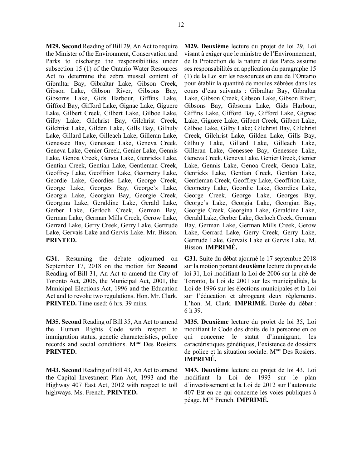**M29. Second** Reading of Bill 29, An Act to require the Minister of the Environment, Conservation and Parks to discharge the responsibilities under subsection 15 (1) of the Ontario Water Resources Act to determine the zebra mussel content of Gibraltar Bay, Gibraltar Lake, Gibson Creek, Gibson Lake, Gibson River, Gibsons Bay, Gibsorns Lake, Gids Harbour, Giffins Lake, Gifford Bay, Gifford Lake, Gignac Lake, Giguere Lake, Gilbert Creek, Gilbert Lake, Gilboe Lake, Gilby Lake; Gilchrist Bay, Gilchrist Creek, Gilchrist Lake, Gilden Lake, Gills Bay, Gilhuly Lake, Gillard Lake, Gilleach Lake, Gilleran Lake, Genessee Bay, Genessee Lake, Geneva Creek, Geneva Lake, Genier Greek, Genier Lake, Gennis Lake, Genoa Creek, Genoa Lake, Genricks Lake, Gentian Creek, Gentian Lake, Gentleman Creek, Geoffrey Lake, Geoffrion Lake, Geometry Lake, Geordie Lake, Geordies Lake, George Creek, George Lake, Georges Bay, George's Lake, Georgia Lake, Georgian Bay, Georgie Creek, Georgina Lake, Geraldine Lake, Gerald Lake, Gerber Lake, Gerloch Creek, German Bay, German Lake, German Mills Creek, Gerow Lake, Gerrard Lake, Gerry Creek, Gerry Lake, Gertrude Lake, Gervais Lake and Gervis Lake. Mr. Bisson. **PRINTED.** 

**G31.** Resuming the debate adjourned on September 17, 2018 on the motion for **Second** Reading of Bill 31, An Act to amend the City of Toronto Act, 2006, the Municipal Act, 2001, the Municipal Elections Act, 1996 and the Education Act and to revoke two regulations. Hon. Mr. Clark. **PRINTED.** Time used: 6 hrs. 39 mins.

**M35. Second** Reading of Bill 35, An Act to amend the Human Rights Code with respect to immigration status, genetic characteristics, police records and social conditions. Mme Des Rosiers. **PRINTED.** 

**M43. Second** Reading of Bill 43, An Act to amend the Capital Investment Plan Act, 1993 and the Highway 407 East Act, 2012 with respect to toll highways. Ms. French. **PRINTED.** 

**M29. Deuxième** lecture du projet de loi 29, Loi visant à exiger que le ministre de l'Environnement, de la Protection de la nature et des Parcs assume ses responsabilités en application du paragraphe 15 (1) de la Loi sur les ressources en eau de l'Ontario pour établir la quantité de moules zébrées dans les cours d'eau suivants : Gibraltar Bay, Gibraltar Lake, Gibson Creek, Gibson Lake, Gibson River, Gibsons Bay, Gibsorns Lake, Gids Harbour, Giffins Lake, Gifford Bay, Gifford Lake, Gignac Lake, Giguere Lake, Gilbert Creek, Gilbert Lake, Gilboe Lake, Gilby Lake; Gilchrist Bay, Gilchrist Creek, Gilchrist Lake, Gilden Lake, Gills Bay, Gilhuly Lake, Gillard Lake, Gilleach Lake, Gilleran Lake, Genessee Bay, Genessee Lake, Geneva Creek, Geneva Lake, Genier Greek, Genier Lake, Gennis Lake, Genoa Creek, Genoa Lake, Genricks Lake, Gentian Creek, Gentian Lake, Gentleman Creek, Geoffrey Lake, Geoffrion Lake, Geometry Lake, Geordie Lake, Geordies Lake, George Creek, George Lake, Georges Bay, George's Lake, Georgia Lake, Georgian Bay, Georgie Creek, Georgina Lake, Geraldine Lake, Gerald Lake, Gerber Lake, Gerloch Creek, German Bay, German Lake, German Mills Creek, Gerow Lake, Gerrard Lake, Gerry Creek, Gerry Lake, Gertrude Lake, Gervais Lake et Gervis Lake. M. Bisson. **IMPRIMÉ.** 

**G31.** Suite du débat ajourné le 17 septembre 2018 sur la motion portant **deuxième** lecture du projet de loi 31, Loi modifiant la Loi de 2006 sur la cité de Toronto, la Loi de 2001 sur les municipalités, la Loi de 1996 sur les élections municipales et la Loi sur l'éducation et abrogeant deux règlements. L'hon. M. Clark. **IMPRIMÉ.** Durée du débat : 6 h 39.

**M35. Deuxième** lecture du projet de loi 35, Loi modifiant le Code des droits de la personne en ce qui concerne le statut d'immigrant, les caractéristiques génétiques, l'existence de dossiers de police et la situation sociale. Mme Des Rosiers. **IMPRIMÉ.** 

**M43. Deuxième** lecture du projet de loi 43, Loi modifiant la Loi de 1993 sur le plan d'investissement et la Loi de 2012 sur l'autoroute 407 Est en ce qui concerne les voies publiques à péage. Mme French. **IMPRIMÉ.**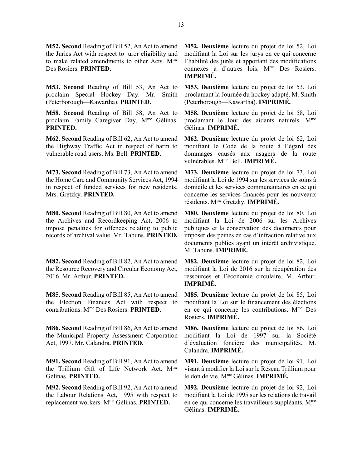**M52. Second** Reading of Bill 52, An Act to amend the Juries Act with respect to juror eligibility and to make related amendments to other Acts. Mme Des Rosiers. **PRINTED.** 

**M53. Second** Reading of Bill 53, An Act to proclaim Special Hockey Day. Mr. Smith (Peterborough—Kawartha). **PRINTED.** 

**M58. Second** Reading of Bill 58, An Act to proclaim Family Caregiver Day. Mme Gélinas. **PRINTED.** 

**M62. Second** Reading of Bill 62, An Act to amend the Highway Traffic Act in respect of harm to vulnerable road users. Ms. Bell. **PRINTED.** 

**M73. Second** Reading of Bill 73, An Act to amend the Home Care and Community Services Act, 1994 in respect of funded services for new residents. Mrs. Gretzky. **PRINTED.** 

**M80. Second** Reading of Bill 80, An Act to amend the Archives and Recordkeeping Act, 2006 to impose penalties for offences relating to public records of archival value. Mr. Tabuns. **PRINTED.** 

**M82. Second** Reading of Bill 82, An Act to amend the Resource Recovery and Circular Economy Act, 2016. Mr. Arthur. **PRINTED.** 

**M85. Second** Reading of Bill 85, An Act to amend the Election Finances Act with respect to contributions. Mme Des Rosiers. **PRINTED.** 

**M86. Second** Reading of Bill 86, An Act to amend the Municipal Property Assessment Corporation Act, 1997. Mr. Calandra. **PRINTED.** 

**M91. Second** Reading of Bill 91, An Act to amend the Trillium Gift of Life Network Act. Mme Gélinas. **PRINTED.** 

**M92. Second** Reading of Bill 92, An Act to amend the Labour Relations Act, 1995 with respect to replacement workers. Mme Gélinas. **PRINTED.** 

**M52. Deuxième** lecture du projet de loi 52, Loi modifiant la Loi sur les jurys en ce qui concerne l'habilité des jurés et apportant des modifications connexes à d'autres lois. M<sup>me</sup> Des Rosiers. **IMPRIMÉ.** 

**M53. Deuxième** lecture du projet de loi 53, Loi proclamant la Journée du hockey adapté. M. Smith (Peterborough—Kawartha). **IMPRIMÉ.** 

**M58. Deuxième** lecture du projet de loi 58, Loi proclamant le Jour des aidants naturels. Mme Gélinas. **IMPRIMÉ.** 

**M62. Deuxième** lecture du projet de loi 62, Loi modifiant le Code de la route à l'égard des dommages causés aux usagers de la route vulnérables. Mme Bell. **IMPRIMÉ.** 

**M73. Deuxième** lecture du projet de loi 73, Loi modifiant la Loi de 1994 sur les services de soins à domicile et les services communautaires en ce qui concerne les services financés pour les nouveaux résidents. Mme Gretzky. **IMPRIMÉ.** 

**M80. Deuxième** lecture du projet de loi 80, Loi modifiant la Loi de 2006 sur les Archives publiques et la conservation des documents pour imposer des peines en cas d'infraction relative aux documents publics ayant un intérêt archivistique. M. Tabuns. **IMPRIMÉ.** 

**M82. Deuxième** lecture du projet de loi 82, Loi modifiant la Loi de 2016 sur la récupération des ressources et l'économie circulaire. M. Arthur. **IMPRIMÉ.** 

**M85. Deuxième** lecture du projet de loi 85, Loi modifiant la Loi sur le financement des élections en ce qui concerne les contributions. Mme Des Rosiers. **IMPRIMÉ.** 

**M86. Deuxième** lecture du projet de loi 86, Loi modifiant la Loi de 1997 sur la Société d'évaluation foncière des municipalités. M. Calandra. **IMPRIMÉ.** 

**M91. Deuxième** lecture du projet de loi 91, Loi visant à modifier la Loi sur le Réseau Trillium pour le don de vie. Mme Gélinas. **IMPRIMÉ.** 

**M92. Deuxième** lecture du projet de loi 92, Loi modifiant la Loi de 1995 sur les relations de travail en ce qui concerne les travailleurs suppléants. M<sup>me</sup> Gélinas. **IMPRIMÉ.**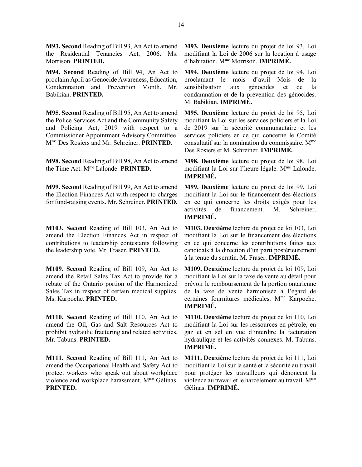**M93. Second** Reading of Bill 93, An Act to amend the Residential Tenancies Act, 2006. Ms. Morrison. **PRINTED.** 

**M94. Second** Reading of Bill 94, An Act to proclaim April as Genocide Awareness, Education, Condemnation and Prevention Month. Mr. Babikian. **PRINTED.** 

**M95. Second** Reading of Bill 95, An Act to amend the Police Services Act and the Community Safety and Policing Act, 2019 with respect to a Commissioner Appointment Advisory Committee. Mme Des Rosiers and Mr. Schreiner. **PRINTED.** 

**M98. Second** Reading of Bill 98, An Act to amend the Time Act. Mme Lalonde. **PRINTED.** 

**M99. Second** Reading of Bill 99, An Act to amend the Election Finances Act with respect to charges for fund-raising events. Mr. Schreiner. **PRINTED.** 

**M103. Second** Reading of Bill 103, An Act to amend the Election Finances Act in respect of contributions to leadership contestants following the leadership vote. Mr. Fraser. **PRINTED.** 

**M109. Second** Reading of Bill 109, An Act to amend the Retail Sales Tax Act to provide for a rebate of the Ontario portion of the Harmonized Sales Tax in respect of certain medical supplies. Ms. Karpoche. **PRINTED.** 

**M110. Second** Reading of Bill 110, An Act to amend the Oil, Gas and Salt Resources Act to prohibit hydraulic fracturing and related activities. Mr. Tabuns. **PRINTED.** 

**M111. Second** Reading of Bill 111, An Act to amend the Occupational Health and Safety Act to protect workers who speak out about workplace violence and workplace harassment. M<sup>me</sup> Gélinas. **PRINTED.** 

**M93. Deuxième** lecture du projet de loi 93, Loi modifiant la Loi de 2006 sur la location à usage d'habitation. Mme Morrison. **IMPRIMÉ.** 

**M94. Deuxième** lecture du projet de loi 94, Loi proclamant le mois d'avril Mois de la sensibilisation aux génocides et de la condamnation et de la prévention des génocides. M. Babikian. **IMPRIMÉ.** 

**M95. Deuxième** lecture du projet de loi 95, Loi modifiant la Loi sur les services policiers et la Loi de 2019 sur la sécurité communautaire et les services policiers en ce qui concerne le Comité consultatif sur la nomination du commissaire. Mme Des Rosiers et M. Schreiner. **IMPRIMÉ.** 

**M98. Deuxième** lecture du projet de loi 98, Loi modifiant la Loi sur l'heure légale. Mme Lalonde. **IMPRIMÉ.** 

**M99. Deuxième** lecture du projet de loi 99, Loi modifiant la Loi sur le financement des élections en ce qui concerne les droits exigés pour les activités de financement. M. Schreiner. **IMPRIMÉ.** 

**M103. Deuxième** lecture du projet de loi 103, Loi modifiant la Loi sur le financement des élections en ce qui concerne les contributions faites aux candidats à la direction d'un parti postérieurement à la tenue du scrutin. M. Fraser. **IMPRIMÉ.** 

**M109. Deuxième** lecture du projet de loi 109, Loi modifiant la Loi sur la taxe de vente au détail pour prévoir le remboursement de la portion ontarienne de la taxe de vente harmonisée à l'égard de certaines fournitures médicales. Mme Karpoche. **IMPRIMÉ.** 

**M110. Deuxième** lecture du projet de loi 110, Loi modifiant la Loi sur les ressources en pétrole, en gaz et en sel en vue d'interdire la facturation hydraulique et les activités connexes. M. Tabuns. **IMPRIMÉ.** 

**M111. Deuxième** lecture du projet de loi 111, Loi modifiant la Loi sur la santé et la sécurité au travail pour protéger les travailleurs qui dénoncent la violence au travail et le harcèlement au travail. M<sup>me</sup> Gélinas. **IMPRIMÉ.**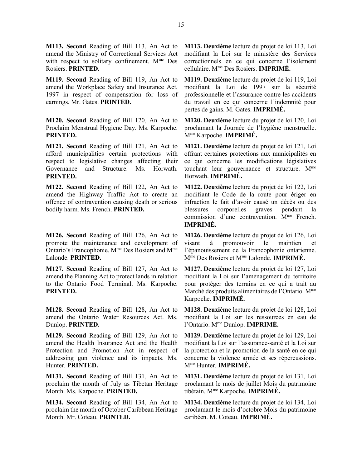**M113. Second** Reading of Bill 113, An Act to amend the Ministry of Correctional Services Act with respect to solitary confinement. Mme Des Rosiers. **PRINTED.** 

**M119. Second** Reading of Bill 119, An Act to amend the Workplace Safety and Insurance Act, 1997 in respect of compensation for loss of earnings. Mr. Gates. **PRINTED.** 

**M120. Second** Reading of Bill 120, An Act to Proclaim Menstrual Hygiene Day. Ms. Karpoche. **PRINTED.** 

**M121. Second** Reading of Bill 121, An Act to afford municipalities certain protections with respect to legislative changes affecting their Governance and Structure. Ms. Horwath. **PRINTED.** 

**M122. Second** Reading of Bill 122, An Act to amend the Highway Traffic Act to create an offence of contravention causing death or serious bodily harm. Ms. French. **PRINTED.** 

**M126. Second** Reading of Bill 126, An Act to promote the maintenance and development of Ontario's Francophonie. Mme Des Rosiers and Mme Lalonde. **PRINTED.** 

**M127. Second** Reading of Bill 127, An Act to amend the Planning Act to protect lands in relation to the Ontario Food Terminal. Ms. Karpoche. **PRINTED.** 

**M128. Second** Reading of Bill 128, An Act to amend the Ontario Water Resources Act. Ms. Dunlop. **PRINTED.** 

**M129. Second** Reading of Bill 129, An Act to amend the Health Insurance Act and the Health Protection and Promotion Act in respect of addressing gun violence and its impacts. Ms. Hunter. **PRINTED.** 

**M131. Second** Reading of Bill 131, An Act to proclaim the month of July as Tibetan Heritage Month. Ms. Karpoche. **PRINTED.** 

**M134. Second** Reading of Bill 134, An Act to proclaim the month of October Caribbean Heritage Month. Mr. Coteau. **PRINTED.** 

**M113. Deuxième** lecture du projet de loi 113, Loi modifiant la Loi sur le ministère des Services correctionnels en ce qui concerne l'isolement cellulaire. Mme Des Rosiers. **IMPRIMÉ.** 

**M119. Deuxième** lecture du projet de loi 119, Loi modifiant la Loi de 1997 sur la sécurité professionnelle et l'assurance contre les accidents du travail en ce qui concerne l'indemnité pour pertes de gains. M. Gates. **IMPRIMÉ.** 

**M120. Deuxième** lecture du projet de loi 120, Loi proclamant la Journée de l'hygiène menstruelle. Mme Karpoche. **IMPRIMÉ.** 

**M121. Deuxième** lecture du projet de loi 121, Loi offrant certaines protections aux municipalités en ce qui concerne les modifications législatives touchant leur gouvernance et structure. Mme Horwath. **IMPRIMÉ.** 

**M122. Deuxième** lecture du projet de loi 122, Loi modifiant le Code de la route pour ériger en infraction le fait d'avoir causé un décès ou des blessures corporelles graves pendant la commission d'une contravention. M<sup>me</sup> French. **IMPRIMÉ.** 

**M126. Deuxième** lecture du projet de loi 126, Loi visant à promouvoir le maintien et l'épanouissement de la Francophonie ontarienne. Mme Des Rosiers et Mme Lalonde. **IMPRIMÉ.** 

**M127. Deuxième** lecture du projet de loi 127, Loi modifiant la Loi sur l'aménagement du territoire pour protéger des terrains en ce qui a trait au Marché des produits alimentaires de l'Ontario. M<sup>me</sup> Karpoche. **IMPRIMÉ.** 

**M128. Deuxième** lecture du projet de loi 128, Loi modifiant la Loi sur les ressources en eau de l'Ontario. Mme Dunlop. **IMPRIMÉ.** 

**M129. Deuxième** lecture du projet de loi 129, Loi modifiant la Loi sur l'assurance-santé et la Loi sur la protection et la promotion de la santé en ce qui concerne la violence armée et ses répercussions. Mme Hunter. **IMPRIMÉ.** 

**M131. Deuxième** lecture du projet de loi 131, Loi proclamant le mois de juillet Mois du patrimoine tibétain. Mme Karpoche. **IMPRIMÉ.** 

**M134. Deuxième** lecture du projet de loi 134, Loi proclamant le mois d'octobre Mois du patrimoine caribéen. M. Coteau. **IMPRIMÉ.**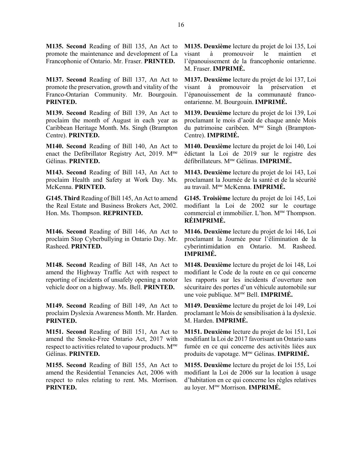**M135. Second** Reading of Bill 135, An Act to promote the maintenance and development of La Francophonie of Ontario. Mr. Fraser. **PRINTED.** 

**M137. Second** Reading of Bill 137, An Act to promote the preservation, growth and vitality of the Franco-Ontarian Community. Mr. Bourgouin. **PRINTED.** 

**M139. Second** Reading of Bill 139, An Act to proclaim the month of August in each year as Caribbean Heritage Month. Ms. Singh (Brampton Centre). **PRINTED.** 

**M140. Second** Reading of Bill 140, An Act to enact the Defibrillator Registry Act, 2019. Mme Gélinas. **PRINTED.** 

**M143. Second** Reading of Bill 143, An Act to proclaim Health and Safety at Work Day. Ms. McKenna. **PRINTED.** 

**G145. Third** Reading of Bill 145, An Act to amend the Real Estate and Business Brokers Act, 2002. Hon. Ms. Thompson. **REPRINTED.** 

**M146. Second** Reading of Bill 146, An Act to proclaim Stop Cyberbullying in Ontario Day. Mr. Rasheed. **PRINTED.** 

**M148. Second** Reading of Bill 148, An Act to amend the Highway Traffic Act with respect to reporting of incidents of unsafely opening a motor vehicle door on a highway. Ms. Bell. **PRINTED.** 

**M149. Second** Reading of Bill 149, An Act to proclaim Dyslexia Awareness Month. Mr. Harden. **PRINTED.** 

**M151. Second** Reading of Bill 151, An Act to amend the Smoke-Free Ontario Act, 2017 with respect to activities related to vapour products. M<sup>me</sup> Gélinas. **PRINTED.** 

**M155. Second** Reading of Bill 155, An Act to amend the Residential Tenancies Act, 2006 with respect to rules relating to rent. Ms. Morrison. **PRINTED.** 

**M135. Deuxième** lecture du projet de loi 135, Loi visant à promouvoir le maintien et l'épanouissement de la francophonie ontarienne. M. Fraser. **IMPRIMÉ.** 

**M137. Deuxième** lecture du projet de loi 137, Loi visant à promouvoir la préservation et l'épanouissement de la communauté francoontarienne. M. Bourgouin. **IMPRIMÉ.** 

**M139. Deuxième** lecture du projet de loi 139, Loi proclamant le mois d'août de chaque année Mois du patrimoine caribéen. M<sup>me</sup> Singh (Brampton-Centre). **IMPRIMÉ.** 

**M140. Deuxième** lecture du projet de loi 140, Loi édictant la Loi de 2019 sur le registre des défibrillateurs. Mme Gélinas. **IMPRIMÉ.** 

**M143. Deuxième** lecture du projet de loi 143, Loi proclamant la Journée de la santé et de la sécurité au travail. Mme McKenna. **IMPRIMÉ.** 

**G145. Troisième** lecture du projet de loi 145, Loi modifiant la Loi de 2002 sur le courtage commercial et immobilier. L'hon. Mme Thompson. **RÉIMPRIMÉ.** 

**M146. Deuxième** lecture du projet de loi 146, Loi proclamant la Journée pour l'élimination de la cyberintimidation en Ontario. M. Rasheed. **IMPRIMÉ.** 

**M148. Deuxième** lecture du projet de loi 148, Loi modifiant le Code de la route en ce qui concerne les rapports sur les incidents d'ouverture non sécuritaire des portes d'un véhicule automobile sur une voie publique. Mme Bell. **IMPRIMÉ.** 

**M149. Deuxième** lecture du projet de loi 149, Loi proclamant le Mois de sensibilisation à la dyslexie. M. Harden. **IMPRIMÉ.** 

**M151. Deuxième** lecture du projet de loi 151, Loi modifiant la Loi de 2017 favorisant un Ontario sans fumée en ce qui concerne des activités liées aux produits de vapotage. Mme Gélinas. **IMPRIMÉ.** 

**M155. Deuxième** lecture du projet de loi 155, Loi modifiant la Loi de 2006 sur la location à usage d'habitation en ce qui concerne les règles relatives au loyer. Mme Morrison. **IMPRIMÉ.**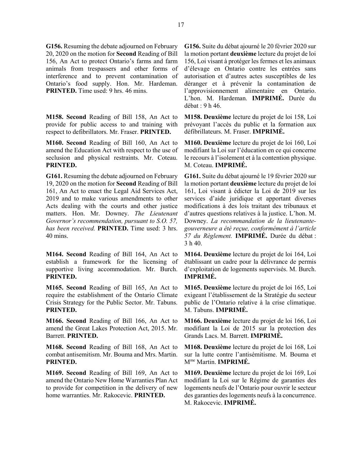**G156.** Resuming the debate adjourned on February 20, 2020 on the motion for **Second** Reading of Bill 156, An Act to protect Ontario's farms and farm animals from trespassers and other forms of interference and to prevent contamination of Ontario's food supply. Hon. Mr. Hardeman. **PRINTED.** Time used: 9 hrs. 46 mins.

**M158. Second** Reading of Bill 158, An Act to provide for public access to and training with respect to defibrillators. Mr. Fraser. **PRINTED.** 

**M160. Second** Reading of Bill 160, An Act to amend the Education Act with respect to the use of seclusion and physical restraints. Mr. Coteau. **PRINTED.** 

**G161.** Resuming the debate adjourned on February 19, 2020 on the motion for **Second** Reading of Bill 161, An Act to enact the Legal Aid Services Act, 2019 and to make various amendments to other Acts dealing with the courts and other justice matters. Hon. Mr. Downey. *The Lieutenant Governor's recommendation, pursuant to S.O. 57, has been received.* **PRINTED.** Time used: 3 hrs. 40 mins.

**M164. Second** Reading of Bill 164, An Act to establish a framework for the licensing of supportive living accommodation. Mr. Burch. **PRINTED.** 

**M165. Second** Reading of Bill 165, An Act to require the establishment of the Ontario Climate Crisis Strategy for the Public Sector. Mr. Tabuns. **PRINTED.** 

**M166. Second** Reading of Bill 166, An Act to amend the Great Lakes Protection Act, 2015. Mr. Barrett. **PRINTED.** 

**M168. Second** Reading of Bill 168, An Act to combat antisemitism. Mr. Bouma and Mrs. Martin. **PRINTED.** 

**M169. Second** Reading of Bill 169, An Act to amend the Ontario New Home Warranties Plan Act to provide for competition in the delivery of new home warranties. Mr. Rakocevic. **PRINTED.** 

**G156.** Suite du débat ajourné le 20 février 2020 sur la motion portant **deuxième** lecture du projet de loi 156, Loi visant à protéger les fermes et les animaux d'élevage en Ontario contre les entrées sans autorisation et d'autres actes susceptibles de les déranger et à prévenir la contamination de l'approvisionnement alimentaire en Ontario. L'hon. M. Hardeman. **IMPRIMÉ.** Durée du débat : 9 h 46.

**M158. Deuxième** lecture du projet de loi 158, Loi prévoyant l'accès du public et la formation aux défibrillateurs. M. Fraser. **IMPRIMÉ.** 

**M160. Deuxième** lecture du projet de loi 160, Loi modifiant la Loi sur l'éducation en ce qui concerne le recours à l'isolement et à la contention physique. M. Coteau. **IMPRIMÉ.** 

**G161.** Suite du débat ajourné le 19 février 2020 sur la motion portant **deuxième** lecture du projet de loi 161, Loi visant à édicter la Loi de 2019 sur les services d'aide juridique et apportant diverses modifications à des lois traitant des tribunaux et d'autres questions relatives à la justice. L'hon. M. Downey. *La recommandation de la lieutenantegouverneure a été reçue, conformément à l'article 57 du Règlement.* **IMPRIMÉ.** Durée du débat : 3 h 40.

**M164. Deuxième** lecture du projet de loi 164, Loi établissant un cadre pour la délivrance de permis d'exploitation de logements supervisés. M. Burch. **IMPRIMÉ.** 

**M165. Deuxième** lecture du projet de loi 165, Loi exigeant l'établissement de la Stratégie du secteur public de l'Ontario relative à la crise climatique. M. Tabuns. **IMPRIMÉ.** 

**M166. Deuxième** lecture du projet de loi 166, Loi modifiant la Loi de 2015 sur la protection des Grands Lacs. M. Barrett. **IMPRIMÉ.** 

**M168. Deuxième** lecture du projet de loi 168, Loi sur la lutte contre l'antisémitisme. M. Bouma et Mme Martin. **IMPRIMÉ.** 

**M169. Deuxième** lecture du projet de loi 169, Loi modifiant la Loi sur le Régime de garanties des logements neufs de l'Ontario pour ouvrir le secteur des garanties des logements neufs à la concurrence. M. Rakocevic. **IMPRIMÉ.**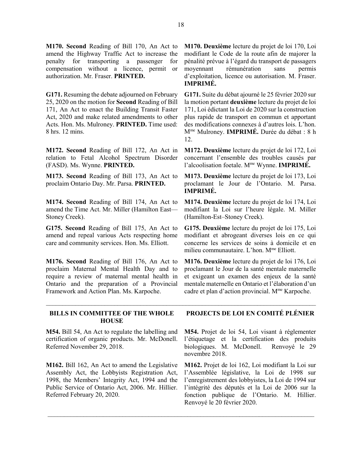**M170. Second** Reading of Bill 170, An Act to amend the Highway Traffic Act to increase the penalty for transporting a passenger for compensation without a licence, permit or authorization. Mr. Fraser. **PRINTED.** 

**G171.** Resuming the debate adjourned on February 25, 2020 on the motion for **Second** Reading of Bill 171, An Act to enact the Building Transit Faster Act, 2020 and make related amendments to other Acts. Hon. Ms. Mulroney. **PRINTED.** Time used: 8 hrs. 12 mins.

**M172. Second** Reading of Bill 172, An Act in relation to Fetal Alcohol Spectrum Disorder (FASD). Ms. Wynne. **PRINTED.** 

**M173. Second** Reading of Bill 173, An Act to proclaim Ontario Day. Mr. Parsa. **PRINTED.** 

**M174. Second** Reading of Bill 174, An Act to amend the Time Act. Mr. Miller (Hamilton East— Stoney Creek).

**G175. Second** Reading of Bill 175, An Act to amend and repeal various Acts respecting home care and community services. Hon. Ms. Elliott.

**M176. Second** Reading of Bill 176, An Act to proclaim Maternal Mental Health Day and to require a review of maternal mental health in Ontario and the preparation of a Provincial Framework and Action Plan. Ms. Karpoche.

**M170. Deuxième** lecture du projet de loi 170, Loi modifiant le Code de la route afin de majorer la pénalité prévue à l'égard du transport de passagers moyennant rémunération sans permis d'exploitation, licence ou autorisation. M. Fraser. **IMPRIMÉ.** 

**G171.** Suite du débat ajourné le 25 février 2020 sur la motion portant **deuxième** lecture du projet de loi 171, Loi édictant la Loi de 2020 sur la construction plus rapide de transport en commun et apportant des modifications connexes à d'autres lois. L'hon. Mme Mulroney. **IMPRIMÉ.** Durée du débat : 8 h 12.

**M172. Deuxième** lecture du projet de loi 172, Loi concernant l'ensemble des troubles causés par l'alcoolisation foetale. Mme Wynne. **IMPRIMÉ.** 

**M173. Deuxième** lecture du projet de loi 173, Loi proclamant le Jour de l'Ontario. M. Parsa. **IMPRIMÉ.** 

**M174. Deuxième** lecture du projet de loi 174, Loi modifiant la Loi sur l'heure légale. M. Miller (Hamilton-Est–Stoney Creek).

**G175. Deuxième** lecture du projet de loi 175, Loi modifiant et abrogeant diverses lois en ce qui concerne les services de soins à domicile et en milieu communautaire. L'hon. M<sup>me</sup> Elliott.

**M176. Deuxième** lecture du projet de loi 176, Loi proclamant le Jour de la santé mentale maternelle et exigeant un examen des enjeux de la santé mentale maternelle en Ontario et l'élaboration d'un cadre et plan d'action provincial. Mme Karpoche.

### **BILLS IN COMMITTEE OF THE WHOLE HOUSE**

**M54.** Bill 54, An Act to regulate the labelling and certification of organic products. Mr. McDonell. Referred November 29, 2018.

**M162.** Bill 162, An Act to amend the Legislative Assembly Act, the Lobbyists Registration Act, 1998, the Members' Integrity Act, 1994 and the Public Service of Ontario Act, 2006. Mr. Hillier. Referred February 20, 2020.

## **PROJECTS DE LOI EN COMITÉ PLÉNIER**

**M54.** Projet de loi 54, Loi visant à réglementer l'étiquetage et la certification des produits biologiques. M. McDonell. Renvoyé le 29 novembre 2018.

**M162.** Projet de loi 162, Loi modifiant la Loi sur l'Assemblée législative, la Loi de 1998 sur l'enregistrement des lobbyistes, la Loi de 1994 sur l'intégrité des députés et la Loi de 2006 sur la fonction publique de l'Ontario. M. Hillier. Renvoyé le 20 février 2020.

\_\_\_\_\_\_\_\_\_\_\_\_\_\_\_\_\_\_\_\_\_\_\_\_\_\_\_\_\_\_\_\_\_\_\_\_\_\_\_\_\_\_\_\_\_\_\_\_\_\_\_\_\_\_\_\_\_\_\_\_\_\_\_\_\_\_\_\_\_\_\_\_\_\_\_\_\_\_\_\_\_\_\_

 $\_$  , and the set of the set of the set of the set of the set of the set of the set of the set of the set of the set of the set of the set of the set of the set of the set of the set of the set of the set of the set of th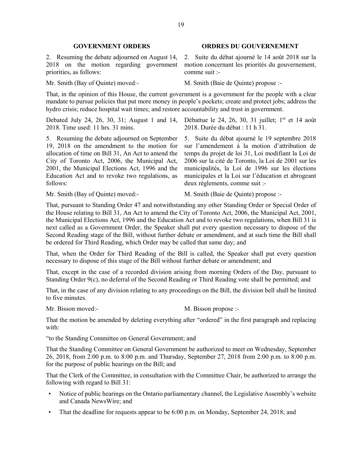2018 on the motion regarding government priorities, as follows:

#### **GOVERNMENT ORDERS ORDRES DU GOUVERNEMENT**

2. Resuming the debate adjourned on August 14, 2. Suite du débat ajourné le 14 août 2018 sur la motion concernant les priorités du gouvernement, comme suit :-

Mr. Smith (Bay of Quinte) moved:- M. Smith (Baie de Quinte) propose :-

That, in the opinion of this House, the current government is a government for the people with a clear mandate to pursue policies that put more money in people's pockets; create and protect jobs; address the hydro crisis; reduce hospital wait times; and restore accountability and trust in government.

2018. Time used: 11 hrs. 31 mins.

5. Resuming the debate adjourned on September 19, 2018 on the amendment to the motion for allocation of time on Bill 31, An Act to amend the City of Toronto Act, 2006, the Municipal Act, 2001, the Municipal Elections Act, 1996 and the Education Act and to revoke two regulations, as follows:

Debated July 24, 26, 30, 31; August 1 and 14, Débattue le 24, 26, 30, 31 juillet; 1<sup>er</sup> et 14 août 2018. Durée du débat : 11 h 31.

> 5. Suite du débat ajourné le 19 septembre 2018 sur l'amendement à la motion d'attribution de temps du projet de loi 31, Loi modifiant la Loi de 2006 sur la cité de Toronto, la Loi de 2001 sur les municipalités, la Loi de 1996 sur les élections municipales et la Loi sur l'éducation et abrogeant deux règlements, comme suit :-

Mr. Smith (Bay of Quinte) moved:- M. Smith (Baie de Quinte) propose :-

That, pursuant to Standing Order 47 and notwithstanding any other Standing Order or Special Order of the House relating to Bill 31, An Act to amend the City of Toronto Act, 2006, the Municipal Act, 2001, the Municipal Elections Act, 1996 and the Education Act and to revoke two regulations, when Bill 31 is next called as a Government Order, the Speaker shall put every question necessary to dispose of the Second Reading stage of the Bill, without further debate or amendment, and at such time the Bill shall be ordered for Third Reading, which Order may be called that same day; and

That, when the Order for Third Reading of the Bill is called, the Speaker shall put every question necessary to dispose of this stage of the Bill without further debate or amendment; and

That, except in the case of a recorded division arising from morning Orders of the Day, pursuant to Standing Order 9(c), no deferral of the Second Reading or Third Reading vote shall be permitted; and

That, in the case of any division relating to any proceedings on the Bill, the division bell shall be limited to five minutes.

Mr. Bisson moved:- M. Bisson propose :-

That the motion be amended by deleting everything after "ordered" in the first paragraph and replacing with:

"to the Standing Committee on General Government; and

That the Standing Committee on General Government be authorized to meet on Wednesday, September 26, 2018, from 2:00 p.m. to 8:00 p.m. and Thursday, September 27, 2018 from 2:00 p.m. to 8:00 p.m. for the purpose of public hearings on the Bill; and

That the Clerk of the Committee, in consultation with the Committee Chair, be authorized to arrange the following with regard to Bill 31:

- Notice of public hearings on the Ontario parliamentary channel, the Legislative Assembly's website and Canada NewsWire; and
- That the deadline for requests appear to be 6:00 p.m. on Monday, September 24, 2018; and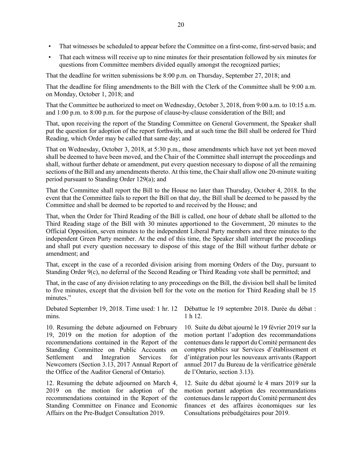- That witnesses be scheduled to appear before the Committee on a first-come, first-served basis; and
- That each witness will receive up to nine minutes for their presentation followed by six minutes for questions from Committee members divided equally amongst the recognized parties;

That the deadline for written submissions be 8:00 p.m. on Thursday, September 27, 2018; and

That the deadline for filing amendments to the Bill with the Clerk of the Committee shall be 9:00 a.m. on Monday, October 1, 2018; and

That the Committee be authorized to meet on Wednesday, October 3, 2018, from 9:00 a.m. to 10:15 a.m. and 1:00 p.m. to 8:00 p.m. for the purpose of clause-by-clause consideration of the Bill; and

That, upon receiving the report of the Standing Committee on General Government, the Speaker shall put the question for adoption of the report forthwith, and at such time the Bill shall be ordered for Third Reading, which Order may be called that same day; and

That on Wednesday, October 3, 2018, at 5:30 p.m., those amendments which have not yet been moved shall be deemed to have been moved, and the Chair of the Committee shall interrupt the proceedings and shall, without further debate or amendment, put every question necessary to dispose of all the remaining sections of the Bill and any amendments thereto. At this time, the Chair shall allow one 20-minute waiting period pursuant to Standing Order 129(a); and

That the Committee shall report the Bill to the House no later than Thursday, October 4, 2018. In the event that the Committee fails to report the Bill on that day, the Bill shall be deemed to be passed by the Committee and shall be deemed to be reported to and received by the House; and

That, when the Order for Third Reading of the Bill is called, one hour of debate shall be allotted to the Third Reading stage of the Bill with 30 minutes apportioned to the Government, 20 minutes to the Official Opposition, seven minutes to the independent Liberal Party members and three minutes to the independent Green Party member. At the end of this time, the Speaker shall interrupt the proceedings and shall put every question necessary to dispose of this stage of the Bill without further debate or amendment; and

That, except in the case of a recorded division arising from morning Orders of the Day, pursuant to Standing Order 9(c), no deferral of the Second Reading or Third Reading vote shall be permitted; and

That, in the case of any division relating to any proceedings on the Bill, the division bell shall be limited to five minutes, except that the division bell for the vote on the motion for Third Reading shall be 15 minutes."

mins.

10. Resuming the debate adjourned on February 19, 2019 on the motion for adoption of the recommendations contained in the Report of the Standing Committee on Public Accounts on Settlement and Integration Services for Newcomers (Section 3.13, 2017 Annual Report of the Office of the Auditor General of Ontario).

12. Resuming the debate adjourned on March 4, 2019 on the motion for adoption of the recommendations contained in the Report of the Standing Committee on Finance and Economic Affairs on the Pre-Budget Consultation 2019.

Debated September 19, 2018. Time used: 1 hr. 12 Débattue le 19 septembre 2018. Durée du débat : 1 h 12.

> 10. Suite du débat ajourné le 19 février 2019 sur la motion portant l'adoption des recommandations contenues dans le rapport du Comité permanent des comptes publics sur Services d'établissement et d'intégration pour les nouveaux arrivants (Rapport annuel 2017 du Bureau de la vérificatrice générale de l'Ontario, section 3.13).

> 12. Suite du débat ajourné le 4 mars 2019 sur la motion portant adoption des recommandations contenues dans le rapport du Comité permanent des finances et des affaires économiques sur les Consultations prébudgétaires pour 2019.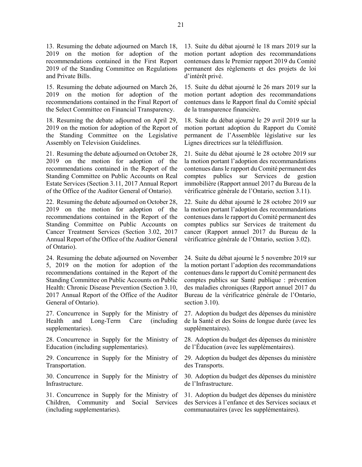13. Resuming the debate adjourned on March 18, 2019 on the motion for adoption of the recommendations contained in the First Report 2019 of the Standing Committee on Regulations and Private Bills.

15. Resuming the debate adjourned on March 26, 2019 on the motion for adoption of the recommendations contained in the Final Report of the Select Committee on Financial Transparency.

18. Resuming the debate adjourned on April 29, 2019 on the motion for adoption of the Report of the Standing Committee on the Legislative Assembly on Television Guidelines.

21. Resuming the debate adjourned on October 28, 2019 on the motion for adoption of the recommendations contained in the Report of the Standing Committee on Public Accounts on Real Estate Services (Section 3.11, 2017 Annual Report of the Office of the Auditor General of Ontario).

22. Resuming the debate adjourned on October 28, 2019 on the motion for adoption of the recommendations contained in the Report of the Standing Committee on Public Accounts on Cancer Treatment Services (Section 3.02, 2017 Annual Report of the Office of the Auditor General of Ontario).

24. Resuming the debate adjourned on November 5, 2019 on the motion for adoption of the recommendations contained in the Report of the Standing Committee on Public Accounts on Public Health: Chronic Disease Prevention (Section 3.10, 2017 Annual Report of the Office of the Auditor General of Ontario).

27. Concurrence in Supply for the Ministry of Health and Long-Term Care (including supplementaries).

28. Concurrence in Supply for the Ministry of Education (including supplementaries).

29. Concurrence in Supply for the Ministry of Transportation.

30. Concurrence in Supply for the Ministry of Infrastructure.

31. Concurrence in Supply for the Ministry of Children, Community and Social Services (including supplementaries).

13. Suite du débat ajourné le 18 mars 2019 sur la motion portant adoption des recommandations contenues dans le Premier rapport 2019 du Comité permanent des règlements et des projets de loi d'intérêt privé.

15. Suite du débat ajourné le 26 mars 2019 sur la motion portant adoption des recommandations contenues dans le Rapport final du Comité spécial de la transparence financière.

18. Suite du débat ajourné le 29 avril 2019 sur la motion portant adoption du Rapport du Comité permanent de l'Assemblée législative sur les Lignes directrices sur la télédiffusion.

21. Suite du débat ajourné le 28 octobre 2019 sur la motion portant l'adoption des recommandations contenues dans le rapport du Comité permanent des comptes publics sur Services de gestion immobilière (Rapport annuel 2017 du Bureau de la vérificatrice générale de l'Ontario, section 3.11).

22. Suite du débat ajourné le 28 octobre 2019 sur la motion portant l'adoption des recommandations contenues dans le rapport du Comité permanent des comptes publics sur Services de traitement du cancer (Rapport annuel 2017 du Bureau de la vérificatrice générale de l'Ontario, section 3.02).

24. Suite du débat ajourné le 5 novembre 2019 sur la motion portant l'adoption des recommandations contenues dans le rapport du Comité permanent des comptes publics sur Santé publique : prévention des maladies chroniques (Rapport annuel 2017 du Bureau de la vérificatrice générale de l'Ontario, section 3.10).

27. Adoption du budget des dépenses du ministère de la Santé et des Soins de longue durée (avec les supplémentaires).

28. Adoption du budget des dépenses du ministère de l'Éducation (avec les supplémentaires).

29. Adoption du budget des dépenses du ministère des Transports.

30. Adoption du budget des dépenses du ministère de l'Infrastructure.

31. Adoption du budget des dépenses du ministère des Services à l'enfance et des Services sociaux et communautaires (avec les supplémentaires).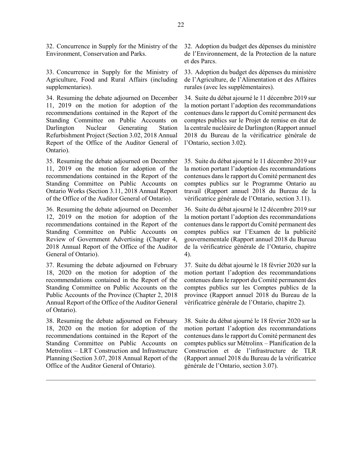32. Concurrence in Supply for the Ministry of the Environment, Conservation and Parks.

33. Concurrence in Supply for the Ministry of Agriculture, Food and Rural Affairs (including supplementaries).

34. Resuming the debate adjourned on December 11, 2019 on the motion for adoption of the recommendations contained in the Report of the Standing Committee on Public Accounts on Darlington Nuclear Generating Station Refurbishment Project (Section 3.02, 2018 Annual Report of the Office of the Auditor General of Ontario).

35. Resuming the debate adjourned on December 11, 2019 on the motion for adoption of the recommendations contained in the Report of the Standing Committee on Public Accounts on Ontario Works (Section 3.11, 2018 Annual Report of the Office of the Auditor General of Ontario).

36. Resuming the debate adjourned on December 12, 2019 on the motion for adoption of the recommendations contained in the Report of the Standing Committee on Public Accounts on Review of Government Advertising (Chapter 4, 2018 Annual Report of the Office of the Auditor General of Ontario).

37. Resuming the debate adjourned on February 18, 2020 on the motion for adoption of the recommendations contained in the Report of the Standing Committee on Public Accounts on the Public Accounts of the Province (Chapter 2, 2018 Annual Report of the Office of the Auditor General of Ontario).

38. Resuming the debate adjourned on February 18, 2020 on the motion for adoption of the recommendations contained in the Report of the Standing Committee on Public Accounts on Metrolinx – LRT Construction and Infrastructure Planning (Section 3.07, 2018 Annual Report of the Office of the Auditor General of Ontario).

32. Adoption du budget des dépenses du ministère de l'Environnement, de la Protection de la nature et des Parcs.

33. Adoption du budget des dépenses du ministère de l'Agriculture, de l'Alimentation et des Affaires rurales (avec les supplémentaires).

34. Suite du débat ajourné le 11 décembre 2019 sur la motion portant l'adoption des recommandations contenues dans le rapport du Comité permanent des comptes publics sur le Projet de remise en état de la centrale nucléaire de Darlington (Rapport annuel 2018 du Bureau de la vérificatrice générale de l'Ontario, section 3.02).

35. Suite du débat ajourné le 11 décembre 2019 sur la motion portant l'adoption des recommandations contenues dans le rapport du Comité permanent des comptes publics sur le Programme Ontario au travail (Rapport annuel 2018 du Bureau de la vérificatrice générale de l'Ontario, section 3.11).

36. Suite du débat ajourné le 12 décembre 2019 sur la motion portant l'adoption des recommandations contenues dans le rapport du Comité permanent des comptes publics sur l'Examen de la publicité gouvernementale (Rapport annuel 2018 du Bureau de la vérificatrice générale de l'Ontario, chapitre 4).

37. Suite du débat ajourné le 18 février 2020 sur la motion portant l'adoption des recommandations contenues dans le rapport du Comité permanent des comptes publics sur les Comptes publics de la province (Rapport annuel 2018 du Bureau de la vérificatrice générale de l'Ontario, chapitre 2).

38. Suite du débat ajourné le 18 février 2020 sur la motion portant l'adoption des recommandations contenues dans le rapport du Comité permanent des comptes publics sur Métrolinx – Planification de la Construction et de l'infrastructure de TLR (Rapport annuel 2018 du Bureau de la vérificatrice générale de l'Ontario, section 3.07).

 $\mathcal{L}_\text{max}$  , and the contract of the contract of the contract of the contract of the contract of the contract of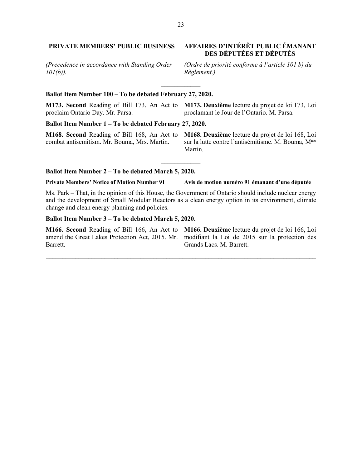# **PRIVATE MEMBERS' PUBLIC BUSINESS AFFAIRES D'INTÉRÊT PUBLIC ÉMANANT**

*(Precedence in accordance with Standing Order 101(b)).*

# **Ballot Item Number 100 – To be debated February 27, 2020.**

**M173. Second** Reading of Bill 173, An Act to **M173. Deuxième** lecture du projet de loi 173, Loi proclaim Ontario Day. Mr. Parsa. proclamant le Jour de l'Ontario. M. Parsa.

 $\frac{1}{2}$ 

**Ballot Item Number 1 – To be debated February 27, 2020.**

**M168. Second** Reading of Bill 168, An Act to combat antisemitism. Mr. Bouma, Mrs. Martin.

**M168. Deuxième** lecture du projet de loi 168, Loi sur la lutte contre l'antisémitisme. M. Bouma, M<sup>me</sup> Martin.

#### **Ballot Item Number 2 – To be debated March 5, 2020.**

**Private Members' Notice of Motion Number 91 Avis de motion numéro 91 émanant d'une députée**

Ms. Park – That, in the opinion of this House, the Government of Ontario should include nuclear energy and the development of Small Modular Reactors as a clean energy option in its environment, climate change and clean energy planning and policies.

\_\_\_\_\_\_\_\_\_\_\_\_\_\_\_\_\_\_\_\_\_\_\_\_\_\_\_\_\_\_\_\_\_\_\_\_\_\_\_\_\_\_\_\_\_\_\_\_\_\_\_\_\_\_\_\_\_\_\_\_\_\_\_\_\_\_\_\_\_\_\_\_\_\_\_\_\_\_\_\_\_\_\_

 $\overline{\phantom{a}}$ 

#### **Ballot Item Number 3 – To be debated March 5, 2020.**

**M166. Second** Reading of Bill 166, An Act to **M166. Deuxième** lecture du projet de loi 166, Loi amend the Great Lakes Protection Act, 2015. Mr. modifiant la Loi de 2015 sur la protection des Barrett.

Grands Lacs. M. Barrett.

# **DES DÉPUTÉES ET DÉPUTÉS**

*(Ordre de priorité conforme à l'article 101 b) du Règlement.)*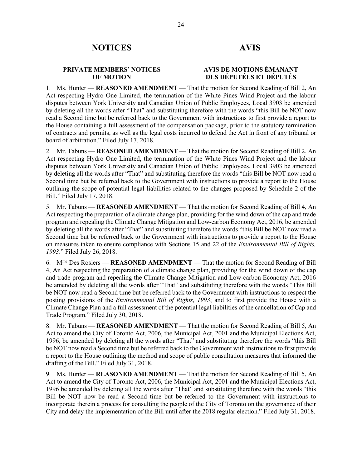### **PRIVATE MEMBERS' NOTICES OF MOTION**

# **AVIS DE MOTIONS ÉMANANT DES DÉPUTÉES ET DÉPUTÉS**

1. Ms. Hunter — **REASONED AMENDMENT** — That the motion for Second Reading of Bill 2, An Act respecting Hydro One Limited, the termination of the White Pines Wind Project and the labour disputes between York University and Canadian Union of Public Employees, Local 3903 be amended by deleting all the words after "That" and substituting therefore with the words "this Bill be NOT now read a Second time but be referred back to the Government with instructions to first provide a report to the House containing a full assessment of the compensation package, prior to the statutory termination of contracts and permits, as well as the legal costs incurred to defend the Act in front of any tribunal or board of arbitration." Filed July 17, 2018.

2. Mr. Tabuns — **REASONED AMENDMENT** — That the motion for Second Reading of Bill 2, An Act respecting Hydro One Limited, the termination of the White Pines Wind Project and the labour disputes between York University and Canadian Union of Public Employees, Local 3903 be amended by deleting all the words after "That" and substituting therefore the words "this Bill be NOT now read a Second time but be referred back to the Government with instructions to provide a report to the House outlining the scope of potential legal liabilities related to the changes proposed by Schedule 2 of the Bill." Filed July 17, 2018.

5. Mr. Tabuns — **REASONED AMENDMENT** — That the motion for Second Reading of Bill 4, An Act respecting the preparation of a climate change plan, providing for the wind down of the cap and trade program and repealing the Climate Change Mitigation and Low-carbon Economy Act, 2016, be amended by deleting all the words after "That" and substituting therefore the words "this Bill be NOT now read a Second time but be referred back to the Government with instructions to provide a report to the House on measures taken to ensure compliance with Sections 15 and 22 of the *Environmental Bill of Rights, 1993*." Filed July 26, 2018.

6. Mme Des Rosiers — **REASONED AMENDMENT** — That the motion for Second Reading of Bill 4, An Act respecting the preparation of a climate change plan, providing for the wind down of the cap and trade program and repealing the Climate Change Mitigation and Low-carbon Economy Act, 2016 be amended by deleting all the words after "That" and substituting therefore with the words "This Bill be NOT now read a Second time but be referred back to the Government with instructions to respect the posting provisions of the *Environmental Bill of Rights, 1993*; and to first provide the House with a Climate Change Plan and a full assessment of the potential legal liabilities of the cancellation of Cap and Trade Program." Filed July 30, 2018.

8. Mr. Tabuns — **REASONED AMENDMENT** — That the motion for Second Reading of Bill 5, An Act to amend the City of Toronto Act, 2006, the Municipal Act, 2001 and the Municipal Elections Act, 1996, be amended by deleting all the words after "That" and substituting therefore the words "this Bill be NOT now read a Second time but be referred back to the Government with instructions to first provide a report to the House outlining the method and scope of public consultation measures that informed the drafting of the Bill." Filed July 31, 2018.

9. Ms. Hunter — **REASONED AMENDMENT** — That the motion for Second Reading of Bill 5, An Act to amend the City of Toronto Act, 2006, the Municipal Act, 2001 and the Municipal Elections Act, 1996 be amended by deleting all the words after "That" and substituting therefore with the words "this Bill be NOT now be read a Second time but be referred to the Government with instructions to incorporate therein a process for consulting the people of the City of Toronto on the governance of their City and delay the implementation of the Bill until after the 2018 regular election." Filed July 31, 2018.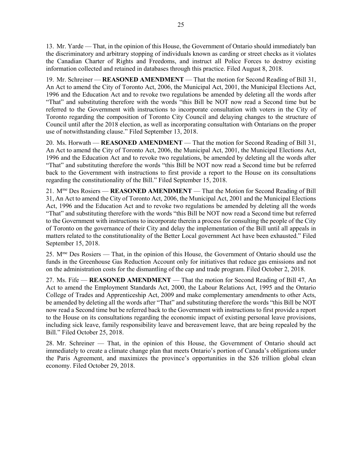13. Mr. Yarde — That, in the opinion of this House, the Government of Ontario should immediately ban the discriminatory and arbitrary stopping of individuals known as carding or street checks as it violates the Canadian Charter of Rights and Freedoms, and instruct all Police Forces to destroy existing information collected and retained in databases through this practice. Filed August 8, 2018.

19. Mr. Schreiner — **REASONED AMENDMENT** — That the motion for Second Reading of Bill 31, An Act to amend the City of Toronto Act, 2006, the Municipal Act, 2001, the Municipal Elections Act, 1996 and the Education Act and to revoke two regulations be amended by deleting all the words after "That" and substituting therefore with the words "this Bill be NOT now read a Second time but be referred to the Government with instructions to incorporate consultation with voters in the City of Toronto regarding the composition of Toronto City Council and delaying changes to the structure of Council until after the 2018 election, as well as incorporating consultation with Ontarians on the proper use of notwithstanding clause." Filed September 13, 2018.

20. Ms. Horwath — **REASONED AMENDMENT** — That the motion for Second Reading of Bill 31, An Act to amend the City of Toronto Act, 2006, the Municipal Act, 2001, the Municipal Elections Act, 1996 and the Education Act and to revoke two regulations, be amended by deleting all the words after "That" and substituting therefore the words "this Bill be NOT now read a Second time but be referred back to the Government with instructions to first provide a report to the House on its consultations regarding the constitutionality of the Bill." Filed September 15, 2018.

21. Mme Des Rosiers — **REASONED AMENDMENT** — That the Motion for Second Reading of Bill 31, An Act to amend the City of Toronto Act, 2006, the Municipal Act, 2001 and the Municipal Elections Act, 1996 and the Education Act and to revoke two regulations be amended by deleting all the words "That" and substituting therefore with the words "this Bill be NOT now read a Second time but referred to the Government with instructions to incorporate therein a process for consulting the people of the City of Toronto on the governance of their City and delay the implementation of the Bill until all appeals in matters related to the constitutionality of the Better Local government Act have been exhausted." Filed September 15, 2018.

25. Mme Des Rosiers — That, in the opinion of this House, the Government of Ontario should use the funds in the Greenhouse Gas Reduction Account only for initiatives that reduce gas emissions and not on the administration costs for the dismantling of the cap and trade program. Filed October 2, 2018.

27. Ms. Fife — **REASONED AMENDMENT** — That the motion for Second Reading of Bill 47, An Act to amend the Employment Standards Act, 2000, the Labour Relations Act, 1995 and the Ontario College of Trades and Apprenticeship Act, 2009 and make complementary amendments to other Acts, be amended by deleting all the words after "That" and substituting therefore the words "this Bill be NOT now read a Second time but be referred back to the Government with instructions to first provide a report to the House on its consultations regarding the economic impact of existing personal leave provisions, including sick leave, family responsibility leave and bereavement leave, that are being repealed by the Bill." Filed October 25, 2018.

28. Mr. Schreiner — That, in the opinion of this House, the Government of Ontario should act immediately to create a climate change plan that meets Ontario's portion of Canada's obligations under the Paris Agreement, and maximizes the province's opportunities in the \$26 trillion global clean economy. Filed October 29, 2018.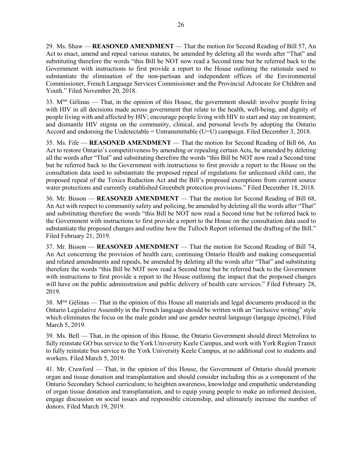29. Ms. Shaw — **REASONED AMENDMENT** — That the motion for Second Reading of Bill 57, An Act to enact, amend and repeal various statutes, be amended by deleting all the words after "That" and substituting therefore the words "this Bill be NOT now read a Second time but be referred back to the Government with instructions to first provide a report to the House outlining the rationale used to substantiate the elimination of the non-partisan and independent offices of the Environmental Commissioner, French Language Services Commissioner and the Provincial Advocate for Children and Youth." Filed November 20, 2018.

33.  $M<sup>me</sup>$  Gélinas — That, in the opinion of this House, the government should: involve people living with HIV in all decisions made across government that relate to the health, well-being, and dignity of people living with and affected by HIV; encourage people living with HIV to start and stay on treatment; and dismantle HIV stigma on the community, clinical, and personal levels by adopting the Ontario Accord and endorsing the Undetectable = Untransmittable (U=U) campaign. Filed December 3, 2018.

35. Ms. Fife — **REASONED AMENDMENT** — That the motion for Second Reading of Bill 66, An Act to restore Ontario's competitiveness by amending or repealing certain Acts, be amended by deleting all the words after "That" and substituting therefore the words "this Bill be NOT now read a Second time but be referred back to the Government with instructions to first provide a report to the House on the consultation data used to substantiate the proposed repeal of regulations for unlicensed child care, the proposed repeal of the Toxics Reduction Act and the Bill's proposed exemptions from current source water protections and currently established Greenbelt protection provisions." Filed December 18, 2018.

36. Mr. Bisson — **REASONED AMENDMENT** — That the motion for Second Reading of Bill 68, An Act with respect to community safety and policing, be amended by deleting all the words after "That" and substituting therefore the words "this Bill be NOT now read a Second time but be referred back to the Government with instructions to first provide a report to the House on the consultation data used to substantiate the proposed changes and outline how the Tulloch Report informed the drafting of the Bill." Filed February 21, 2019.

37. Mr. Bisson — **REASONED AMENDMENT** — That the motion for Second Reading of Bill 74, An Act concerning the provision of health care, continuing Ontario Health and making consequential and related amendments and repeals, be amended by deleting all the words after "That" and substituting therefore the words "this Bill be NOT now read a Second time but be referred back to the Government with instructions to first provide a report to the House outlining the impact that the proposed changes will have on the public administration and public delivery of health care services." Filed February 28, 2019.

38. Mme Gélinas — That in the opinion of this House all materials and legal documents produced in the Ontario Legislative Assembly in the French language should be written with an "inclusive writing" style which eliminates the focus on the male gender and use gender neutral language (langage épicène). Filed March 5, 2019.

39. Ms. Bell — That, in the opinion of this House, the Ontario Government should direct Metrolinx to fully reinstate GO bus service to the York University Keele Campus, and work with York Region Transit to fully reinstate bus service to the York University Keele Campus, at no additional cost to students and workers. Filed March 5, 2019.

41. Mr. Crawford — That, in the opinion of this House, the Government of Ontario should promote organ and tissue donation and transplantation and should consider including this as a component of the Ontario Secondary School curriculum; to heighten awareness, knowledge and empathetic understanding of organ tissue donation and transplantation, and to equip young people to make an informed decision, engage discussion on social issues and responsible citizenship, and ultimately increase the number of donors. Filed March 19, 2019.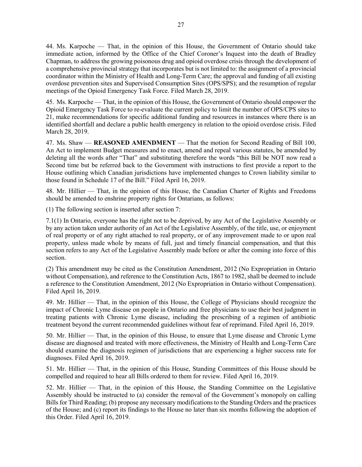44. Ms. Karpoche — That, in the opinion of this House, the Government of Ontario should take immediate action, informed by the Office of the Chief Coroner's Inquest into the death of Bradley Chapman, to address the growing poisonous drug and opioid overdose crisis through the development of a comprehensive provincial strategy that incorporates but is not limited to: the assignment of a provincial coordinator within the Ministry of Health and Long-Term Care; the approval and funding of all existing overdose prevention sites and Supervised Consumption Sites (OPS/SPS); and the resumption of regular meetings of the Opioid Emergency Task Force. Filed March 28, 2019.

45. Ms. Karpoche — That, in the opinion of this House, the Government of Ontario should empower the Opioid Emergency Task Force to re-evaluate the current policy to limit the number of OPS/CPS sites to 21, make recommendations for specific additional funding and resources in instances where there is an identified shortfall and declare a public health emergency in relation to the opioid overdose crisis. Filed March 28, 2019.

47. Ms. Shaw — **REASONED AMENDMENT** — That the motion for Second Reading of Bill 100, An Act to implement Budget measures and to enact, amend and repeal various statutes, be amended by deleting all the words after "That" and substituting therefore the words "this Bill be NOT now read a Second time but be referred back to the Government with instructions to first provide a report to the House outlining which Canadian jurisdictions have implemented changes to Crown liability similar to those found in Schedule 17 of the Bill." Filed April 16, 2019.

48. Mr. Hillier — That, in the opinion of this House, the Canadian Charter of Rights and Freedoms should be amended to enshrine property rights for Ontarians, as follows:

(1) The following section is inserted after section 7:

7.1(1) In Ontario, everyone has the right not to be deprived, by any Act of the Legislative Assembly or by any action taken under authority of an Act of the Legislative Assembly, of the title, use, or enjoyment of real property or of any right attached to real property, or of any improvement made to or upon real property, unless made whole by means of full, just and timely financial compensation, and that this section refers to any Act of the Legislative Assembly made before or after the coming into force of this section.

(2) This amendment may be cited as the Constitution Amendment, 2012 (No Expropriation in Ontario without Compensation), and reference to the Constitution Acts, 1867 to 1982, shall be deemed to include a reference to the Constitution Amendment, 2012 (No Expropriation in Ontario without Compensation). Filed April 16, 2019.

49. Mr. Hillier — That, in the opinion of this House, the College of Physicians should recognize the impact of Chronic Lyme disease on people in Ontario and free physicians to use their best judgment in treating patients with Chronic Lyme disease, including the prescribing of a regimen of antibiotic treatment beyond the current recommended guidelines without fear of reprimand. Filed April 16, 2019.

50. Mr. Hillier — That, in the opinion of this House, to ensure that Lyme disease and Chronic Lyme disease are diagnosed and treated with more effectiveness, the Ministry of Health and Long-Term Care should examine the diagnosis regimen of jurisdictions that are experiencing a higher success rate for diagnoses. Filed April 16, 2019.

51. Mr. Hillier — That, in the opinion of this House, Standing Committees of this House should be compelled and required to hear all Bills ordered to them for review. Filed April 16, 2019.

52. Mr. Hillier — That, in the opinion of this House, the Standing Committee on the Legislative Assembly should be instructed to (a) consider the removal of the Government's monopoly on calling Bills for Third Reading; (b) propose any necessary modifications to the Standing Orders and the practices of the House; and (c) report its findings to the House no later than six months following the adoption of this Order. Filed April 16, 2019.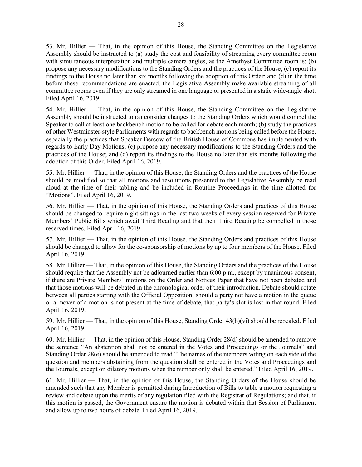53. Mr. Hillier — That, in the opinion of this House, the Standing Committee on the Legislative Assembly should be instructed to (a) study the cost and feasibility of streaming every committee room with simultaneous interpretation and multiple camera angles, as the Amethyst Committee room is; (b) propose any necessary modifications to the Standing Orders and the practices of the House; (c) report its findings to the House no later than six months following the adoption of this Order; and (d) in the time before these recommendations are enacted, the Legislative Assembly make available streaming of all committee rooms even if they are only streamed in one language or presented in a static wide-angle shot. Filed April 16, 2019.

54. Mr. Hillier — That, in the opinion of this House, the Standing Committee on the Legislative Assembly should be instructed to (a) consider changes to the Standing Orders which would compel the Speaker to call at least one backbench motion to be called for debate each month; (b) study the practices of other Westminster-style Parliaments with regards to backbench motions being called before the House, especially the practices that Speaker Bercow of the British House of Commons has implemented with regards to Early Day Motions; (c) propose any necessary modifications to the Standing Orders and the practices of the House; and (d) report its findings to the House no later than six months following the adoption of this Order. Filed April 16, 2019.

55. Mr. Hillier — That, in the opinion of this House, the Standing Orders and the practices of the House should be modified so that all motions and resolutions presented to the Legislative Assembly be read aloud at the time of their tabling and be included in Routine Proceedings in the time allotted for "Motions". Filed April 16, 2019.

56. Mr. Hillier — That, in the opinion of this House, the Standing Orders and practices of this House should be changed to require night sittings in the last two weeks of every session reserved for Private Members' Public Bills which await Third Reading and that their Third Reading be compelled in those reserved times. Filed April 16, 2019.

57. Mr. Hillier — That, in the opinion of this House, the Standing Orders and practices of this House should be changed to allow for the co-sponsorship of motions by up to four members of the House. Filed April 16, 2019.

58. Mr. Hillier — That, in the opinion of this House, the Standing Orders and the practices of the House should require that the Assembly not be adjourned earlier than 6:00 p.m., except by unanimous consent, if there are Private Members' motions on the Order and Notices Paper that have not been debated and that those motions will be debated in the chronological order of their introduction. Debate should rotate between all parties starting with the Official Opposition; should a party not have a motion in the queue or a mover of a motion is not present at the time of debate, that party's slot is lost in that round. Filed April 16, 2019.

59. Mr. Hillier — That, in the opinion of this House, Standing Order 43(b)(vi) should be repealed. Filed April 16, 2019.

60. Mr. Hillier — That, in the opinion of this House, Standing Order 28(d) should be amended to remove the sentence "An abstention shall not be entered in the Votes and Proceedings or the Journals" and Standing Order 28(e) should be amended to read "The names of the members voting on each side of the question and members abstaining from the question shall be entered in the Votes and Proceedings and the Journals, except on dilatory motions when the number only shall be entered." Filed April 16, 2019.

61. Mr. Hillier — That, in the opinion of this House, the Standing Orders of the House should be amended such that any Member is permitted during Introduction of Bills to table a motion requesting a review and debate upon the merits of any regulation filed with the Registrar of Regulations; and that, if this motion is passed, the Government ensure the motion is debated within that Session of Parliament and allow up to two hours of debate. Filed April 16, 2019.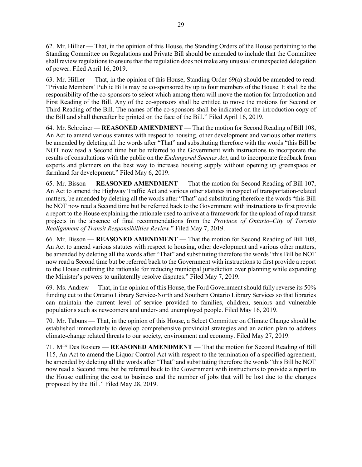62. Mr. Hillier — That, in the opinion of this House, the Standing Orders of the House pertaining to the Standing Committee on Regulations and Private Bill should be amended to include that the Committee shall review regulations to ensure that the regulation does not make any unusual or unexpected delegation of power. Filed April 16, 2019.

63. Mr. Hillier — That, in the opinion of this House, Standing Order 69(a) should be amended to read: "Private Members' Public Bills may be co-sponsored by up to four members of the House. It shall be the responsibility of the co-sponsors to select which among them will move the motion for Introduction and First Reading of the Bill. Any of the co-sponsors shall be entitled to move the motions for Second or Third Reading of the Bill. The names of the co-sponsors shall be indicated on the introduction copy of the Bill and shall thereafter be printed on the face of the Bill." Filed April 16, 2019.

64. Mr. Schreiner — **REASONED AMENDMENT** — That the motion for Second Reading of Bill 108, An Act to amend various statutes with respect to housing, other development and various other matters be amended by deleting all the words after "That" and substituting therefore with the words "this Bill be NOT now read a Second time but be referred to the Government with instructions to incorporate the results of consultations with the public on the *Endangered Species Act*, and to incorporate feedback from experts and planners on the best way to increase housing supply without opening up greenspace or farmland for development." Filed May 6, 2019.

65. Mr. Bisson — **REASONED AMENDMENT** — That the motion for Second Reading of Bill 107, An Act to amend the Highway Traffic Act and various other statutes in respect of transportation-related matters, be amended by deleting all the words after "That" and substituting therefore the words "this Bill be NOT now read a Second time but be referred back to the Government with instructions to first provide a report to the House explaining the rationale used to arrive at a framework for the upload of rapid transit projects in the absence of final recommendations from the *Province of Ontario–City of Toronto Realignment of Transit Responsibilities Review*." Filed May 7, 2019.

66. Mr. Bisson — **REASONED AMENDMENT** — That the motion for Second Reading of Bill 108, An Act to amend various statutes with respect to housing, other development and various other matters, be amended by deleting all the words after "That" and substituting therefore the words "this Bill be NOT now read a Second time but be referred back to the Government with instructions to first provide a report to the House outlining the rationale for reducing municipal jurisdiction over planning while expanding the Minister's powers to unilaterally resolve disputes." Filed May 7, 2019.

69. Ms. Andrew — That, in the opinion of this House, the Ford Government should fully reverse its 50% funding cut to the Ontario Library Service-North and Southern Ontario Library Services so that libraries can maintain the current level of service provided to families, children, seniors and vulnerable populations such as newcomers and under- and unemployed people. Filed May 16, 2019.

70. Mr. Tabuns — That, in the opinion of this House, a Select Committee on Climate Change should be established immediately to develop comprehensive provincial strategies and an action plan to address climate-change related threats to our society, environment and economy. Filed May 27, 2019.

71. Mme Des Rosiers — **REASONED AMENDMENT** — That the motion for Second Reading of Bill 115, An Act to amend the Liquor Control Act with respect to the termination of a specified agreement, be amended by deleting all the words after "That" and substituting therefore the words "this Bill be NOT now read a Second time but be referred back to the Government with instructions to provide a report to the House outlining the cost to business and the number of jobs that will be lost due to the changes proposed by the Bill." Filed May 28, 2019.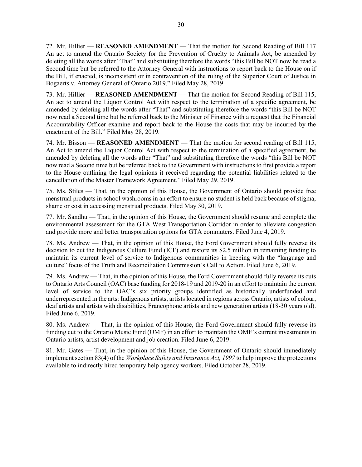72. Mr. Hillier — **REASONED AMENDMENT** — That the motion for Second Reading of Bill 117 An act to amend the Ontario Society for the Prevention of Cruelty to Animals Act, be amended by deleting all the words after "That" and substituting therefore the words "this Bill be NOT now be read a Second time but be referred to the Attorney General with instructions to report back to the House on if the Bill, if enacted, is inconsistent or in contravention of the ruling of the Superior Court of Justice in Bogaerts v. Attorney General of Ontario 2019." Filed May 28, 2019.

73. Mr. Hillier — **REASONED AMENDMENT** — That the motion for Second Reading of Bill 115, An act to amend the Liquor Control Act with respect to the termination of a specific agreement, be amended by deleting all the words after "That" and substituting therefore the words "this Bill be NOT now read a Second time but be referred back to the Minister of Finance with a request that the Financial Accountability Officer examine and report back to the House the costs that may be incurred by the enactment of the Bill." Filed May 28, 2019.

74. Mr. Bisson — **REASONED AMENDMENT** — That the motion for second reading of Bill 115, An Act to amend the Liquor Control Act with respect to the termination of a specified agreement, be amended by deleting all the words after "That" and substituting therefore the words "this Bill be NOT now read a Second time but be referred back to the Government with instructions to first provide a report to the House outlining the legal opinions it received regarding the potential liabilities related to the cancellation of the Master Framework Agreement." Filed May 29, 2019.

75. Ms. Stiles — That, in the opinion of this House, the Government of Ontario should provide free menstrual products in school washrooms in an effort to ensure no student is held back because of stigma, shame or cost in accessing menstrual products. Filed May 30, 2019.

77. Mr. Sandhu — That, in the opinion of this House, the Government should resume and complete the environmental assessment for the GTA West Transportation Corridor in order to alleviate congestion and provide more and better transportation options for GTA commuters. Filed June 4, 2019.

78. Ms. Andrew — That, in the opinion of this House, the Ford Government should fully reverse its decision to cut the Indigenous Culture Fund (ICF) and restore its \$2.5 million in remaining funding to maintain its current level of service to Indigenous communities in keeping with the "language and culture" focus of the Truth and Reconciliation Commission's Call to Action. Filed June 6, 2019.

79. Ms. Andrew — That, in the opinion of this House, the Ford Government should fully reverse its cuts to Ontario Arts Council (OAC) base funding for 2018-19 and 2019-20 in an effort to maintain the current level of service to the OAC's six priority groups identified as historically underfunded and underrepresented in the arts: Indigenous artists, artists located in regions across Ontario, artists of colour, deaf artists and artists with disabilities, Francophone artists and new generation artists (18-30 years old). Filed June 6, 2019.

80. Ms. Andrew — That, in the opinion of this House, the Ford Government should fully reverse its funding cut to the Ontario Music Fund (OMF) in an effort to maintain the OMF's current investments in Ontario artists, artist development and job creation. Filed June 6, 2019.

81. Mr. Gates — That, in the opinion of this House, the Government of Ontario should immediately implement section 83(4) of the *Workplace Safety and Insurance Act, 1997* to help improve the protections available to indirectly hired temporary help agency workers. Filed October 28, 2019.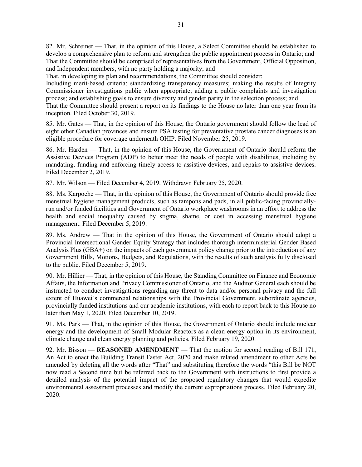82. Mr. Schreiner — That, in the opinion of this House, a Select Committee should be established to develop a comprehensive plan to reform and strengthen the public appointment process in Ontario; and That the Committee should be comprised of representatives from the Government, Official Opposition, and Independent members, with no party holding a majority; and

That, in developing its plan and recommendations, the Committee should consider:

Including merit-based criteria; standardizing transparency measures; making the results of Integrity Commissioner investigations public when appropriate; adding a public complaints and investigation process; and establishing goals to ensure diversity and gender parity in the selection process; and

That the Committee should present a report on its findings to the House no later than one year from its inception. Filed October 30, 2019.

85. Mr. Gates — That, in the opinion of this House, the Ontario government should follow the lead of eight other Canadian provinces and ensure PSA testing for preventative prostate cancer diagnoses is an eligible procedure for coverage underneath OHIP. Filed November 25, 2019.

86. Mr. Harden — That, in the opinion of this House, the Government of Ontario should reform the Assistive Devices Program (ADP) to better meet the needs of people with disabilities, including by mandating, funding and enforcing timely access to assistive devices, and repairs to assistive devices. Filed December 2, 2019.

87. Mr. Wilson — Filed December 4, 2019. Withdrawn February 25, 2020.

88. Ms. Karpoche — That, in the opinion of this House, the Government of Ontario should provide free menstrual hygiene management products, such as tampons and pads, in all public-facing provinciallyrun and/or funded facilities and Government of Ontario workplace washrooms in an effort to address the health and social inequality caused by stigma, shame, or cost in accessing menstrual hygiene management. Filed December 5, 2019.

89. Ms. Andrew — That in the opinion of this House, the Government of Ontario should adopt a Provincial Intersectional Gender Equity Strategy that includes thorough interministerial Gender Based Analysis Plus (GBA+) on the impacts of each government policy change prior to the introduction of any Government Bills, Motions, Budgets, and Regulations, with the results of such analysis fully disclosed to the public. Filed December 5, 2019.

90. Mr. Hillier — That, in the opinion of this House, the Standing Committee on Finance and Economic Affairs, the Information and Privacy Commissioner of Ontario, and the Auditor General each should be instructed to conduct investigations regarding any threat to data and/or personal privacy and the full extent of Huawei's commercial relationships with the Provincial Government, subordinate agencies, provincially funded institutions and our academic institutions, with each to report back to this House no later than May 1, 2020. Filed December 10, 2019.

91. Ms. Park — That, in the opinion of this House, the Government of Ontario should include nuclear energy and the development of Small Modular Reactors as a clean energy option in its environment, climate change and clean energy planning and policies. Filed February 19, 2020.

92. Mr. Bisson — **REASONED AMENDMENT** — That the motion for second reading of Bill 171, An Act to enact the Building Transit Faster Act, 2020 and make related amendment to other Acts be amended by deleting all the words after "That" and substituting therefore the words "this Bill be NOT now read a Second time but be referred back to the Government with instructions to first provide a detailed analysis of the potential impact of the proposed regulatory changes that would expedite environmental assessment processes and modify the current expropriations process. Filed February 20, 2020.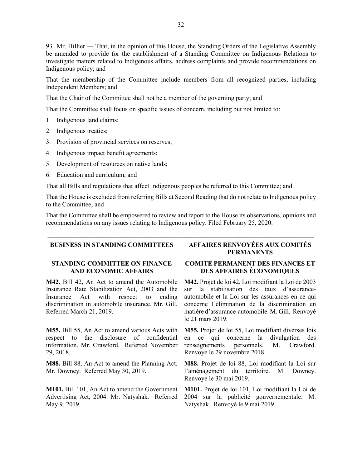93. Mr. Hillier — That, in the opinion of this House, the Standing Orders of the Legislative Assembly be amended to provide for the establishment of a Standing Committee on Indigenous Relations to investigate matters related to Indigenous affairs, address complaints and provide recommendations on Indigenous policy; and

That the membership of the Committee include members from all recognized parties, including Independent Members; and

That the Chair of the Committee shall not be a member of the governing party; and

That the Committee shall focus on specific issues of concern, including but not limited to:

- 1. Indigenous land claims;
- 2. Indigenous treaties;
- 3. Provision of provincial services on reserves;
- 4. Indigenous impact benefit agreements;
- 5. Development of resources on native lands;
- 6. Education and curriculum; and

That all Bills and regulations that affect Indigenous peoples be referred to this Committee; and

That the House is excluded from referring Bills at Second Reading that do not relate to Indigenous policy to the Committee; and

That the Committee shall be empowered to review and report to the House its observations, opinions and recommendations on any issues relating to Indigenous policy. Filed February 25, 2020.

 $\mathcal{L}_\text{max}$  and  $\mathcal{L}_\text{max}$  and  $\mathcal{L}_\text{max}$  and  $\mathcal{L}_\text{max}$  and  $\mathcal{L}_\text{max}$  and  $\mathcal{L}_\text{max}$ 

### **STANDING COMMITTEE ON FINANCE AND ECONOMIC AFFAIRS**

**M42.** Bill 42, An Act to amend the Automobile Insurance Rate Stabilization Act, 2003 and the Insurance Act with respect to ending discrimination in automobile insurance. Mr. Gill. Referred March 21, 2019.

**M55.** Bill 55, An Act to amend various Acts with respect to the disclosure of confidential information. Mr. Crawford. Referred November 29, 2018.

**M88.** Bill 88, An Act to amend the Planning Act. Mr. Downey. Referred May 30, 2019.

**M101.** Bill 101, An Act to amend the Government Advertising Act, 2004. Mr. Natyshak. Referred May 9, 2019.

# **BUSINESS IN STANDING COMMITTEES AFFAIRES RENVOYÉES AUX COMITÉS PERMANENTS**

## **COMITÉ PERMANENT DES FINANCES ET DES AFFAIRES ÉCONOMIQUES**

**M42.** Projet de loi 42, Loi modifiant la Loi de 2003 sur la stabilisation des taux d'assuranceautomobile et la Loi sur les assurances en ce qui concerne l'élimination de la discrimination en matière d'assurance-automobile. M. Gill. Renvoyé le 21 mars 2019.

**M55.** Projet de loi 55, Loi modifiant diverses lois en ce qui concerne la divulgation des renseignements personnels. M. Crawford. Renvoyé le 29 novembre 2018.

**M88.** Projet de loi 88, Loi modifiant la Loi sur l'aménagement du territoire. M. Downey. Renvoyé le 30 mai 2019.

**M101.** Projet de loi 101, Loi modifiant la Loi de 2004 sur la publicité gouvernementale. M. Natyshak. Renvoyé le 9 mai 2019.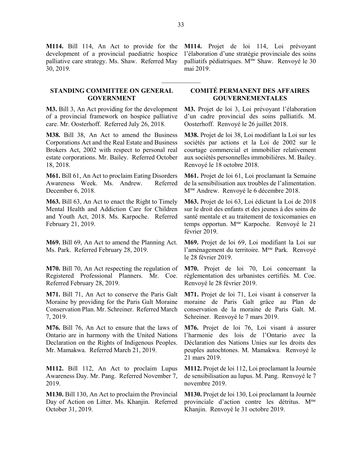**M114.** Bill 114, An Act to provide for the development of a provincial paediatric hospice palliative care strategy. Ms. Shaw. Referred May 30, 2019.

### **STANDING COMMITTEE ON GENERAL GOVERNMENT**

**M3.** Bill 3, An Act providing for the development of a provincial framework on hospice palliative care. Mr. Oosterhoff. Referred July 26, 2018.

**M38.** Bill 38, An Act to amend the Business Corporations Act and the Real Estate and Business Brokers Act, 2002 with respect to personal real estate corporations. Mr. Bailey. Referred October 18, 2018.

**M61.** Bill 61, An Act to proclaim Eating Disorders Awareness Week. Ms. Andrew. Referred December 6, 2018.

**M63.** Bill 63, An Act to enact the Right to Timely Mental Health and Addiction Care for Children and Youth Act, 2018. Ms. Karpoche. Referred February 21, 2019.

**M69.** Bill 69, An Act to amend the Planning Act. Ms. Park. Referred February 28, 2019.

**M70.** Bill 70, An Act respecting the regulation of Registered Professional Planners. Mr. Coe. Referred February 28, 2019.

**M71.** Bill 71, An Act to conserve the Paris Galt Moraine by providing for the Paris Galt Moraine Conservation Plan. Mr. Schreiner. Referred March 7, 2019.

**M76.** Bill 76, An Act to ensure that the laws of Ontario are in harmony with the United Nations Declaration on the Rights of Indigenous Peoples. Mr. Mamakwa. Referred March 21, 2019.

**M112.** Bill 112, An Act to proclaim Lupus Awareness Day. Mr. Pang. Referred November 7, 2019.

**M130.** Bill 130, An Act to proclaim the Provincial Day of Action on Litter. Ms. Khanjin. Referred October 31, 2019.

**M114.** Projet de loi 114, Loi prévoyant l'élaboration d'une stratégie provinciale des soins palliatifs pédiatriques. Mme Shaw. Renvoyé le 30 mai 2019.

## **COMITÉ PERMANENT DES AFFAIRES GOUVERNEMENTALES**

**M3.** Projet de loi 3, Loi prévoyant l'élaboration d'un cadre provincial des soins palliatifs. M. Oosterhoff. Renvoyé le 26 juillet 2018.

**M38.** Projet de loi 38, Loi modifiant la Loi sur les sociétés par actions et la Loi de 2002 sur le courtage commercial et immobilier relativement aux sociétés personnelles immobilières. M. Bailey. Renvoyé le 18 octobre 2018.

**M61.** Projet de loi 61, Loi proclamant la Semaine de la sensibilisation aux troubles de l'alimentation. Mme Andrew. Renvoyé le 6 décembre 2018.

**M63.** Projet de loi 63, Loi édictant la Loi de 2018 sur le droit des enfants et des jeunes à des soins de santé mentale et au traitement de toxicomanies en temps opportun. Mme Karpoche. Renvoyé le 21 février 2019.

**M69.** Projet de loi 69, Loi modifiant la Loi sur l'aménagement du territoire. M<sup>me</sup> Park. Renvoyé le 28 février 2019.

**M70.** Projet de loi 70, Loi concernant la réglementation des urbanistes certifiés. M. Coe. Renvoyé le 28 février 2019.

**M71.** Projet de loi 71, Loi visant à conserver la moraine de Paris Galt grâce au Plan de conservation de la moraine de Paris Galt. M. Schreiner. Renvoyé le 7 mars 2019.

**M76.** Projet de loi 76, Loi visant à assurer l'harmonie des lois de l'Ontario avec la Déclaration des Nations Unies sur les droits des peuples autochtones. M. Mamakwa. Renvoyé le 21 mars 2019.

**M112.** Projet de loi 112, Loi proclamant la Journée de sensibilisation au lupus. M. Pang. Renvoyé le 7 novembre 2019.

**M130.** Projet de loi 130, Loi proclamant la Journée provinciale d'action contre les détritus. Mme Khanjin. Renvoyé le 31 octobre 2019.

 $\frac{1}{2}$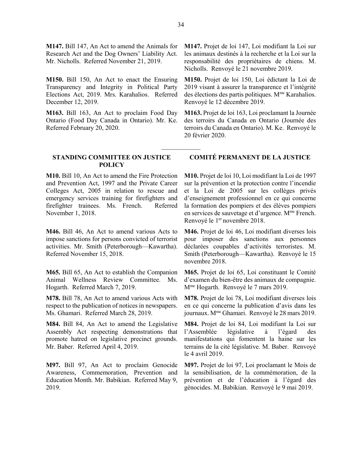**M147.** Bill 147, An Act to amend the Animals for Research Act and the Dog Owners' Liability Act. Mr. Nicholls. Referred November 21, 2019.

**M150.** Bill 150, An Act to enact the Ensuring Transparency and Integrity in Political Party Elections Act, 2019. Mrs. Karahalios. Referred December 12, 2019.

**M163.** Bill 163, An Act to proclaim Food Day Ontario (Food Day Canada in Ontario). Mr. Ke. Referred February 20, 2020.

### **STANDING COMMITTEE ON JUSTICE POLICY**

**M10.** Bill 10, An Act to amend the Fire Protection and Prevention Act, 1997 and the Private Career Colleges Act, 2005 in relation to rescue and emergency services training for firefighters and firefighter trainees. Ms. French. Referred November 1, 2018.

**M46.** Bill 46, An Act to amend various Acts to impose sanctions for persons convicted of terrorist activities. Mr. Smith (Peterborough—Kawartha). Referred November 15, 2018.

**M65.** Bill 65, An Act to establish the Companion Animal Wellness Review Committee. Ms. Hogarth. Referred March 7, 2019.

**M78.** Bill 78, An Act to amend various Acts with respect to the publication of notices in newspapers. Ms. Ghamari. Referred March 28, 2019.

**M84.** Bill 84, An Act to amend the Legislative Assembly Act respecting demonstrations that promote hatred on legislative precinct grounds. Mr. Baber. Referred April 4, 2019.

**M97.** Bill 97, An Act to proclaim Genocide Awareness, Commemoration, Prevention and Education Month. Mr. Babikian. Referred May 9, 2019.

**M147.** Projet de loi 147, Loi modifiant la Loi sur les animaux destinés à la recherche et la Loi sur la responsabilité des propriétaires de chiens. M. Nicholls. Renvoyé le 21 novembre 2019.

**M150.** Projet de loi 150, Loi édictant la Loi de 2019 visant à assurer la transparence et l'intégrité des élections des partis politiques.  $M<sup>me</sup>$  Karahalios. Renvoyé le 12 décembre 2019.

**M163.** Projet de loi 163, Loi proclamant la Journée des terroirs du Canada en Ontario (Journée des terroirs du Canada en Ontario). M. Ke. Renvoyé le 20 février 2020.

### **COMITÉ PERMANENT DE LA JUSTICE**

**M10.** Projet de loi 10, Loi modifiant la Loi de 1997 sur la prévention et la protection contre l'incendie et la Loi de 2005 sur les collèges privés d'enseignement professionnel en ce qui concerne la formation des pompiers et des élèves pompiers en services de sauvetage et d'urgence. Mme French. Renvoyé le 1<sup>er</sup> novembre 2018.

**M46.** Projet de loi 46, Loi modifiant diverses lois pour imposer des sanctions aux personnes déclarées coupables d'activités terroristes. M. Smith (Peterborough—Kawartha). Renvoyé le 15 novembre 2018.

**M65.** Projet de loi 65, Loi constituant le Comité d'examen du bien-être des animaux de compagnie. M<sup>me</sup> Hogarth. Renvoyé le 7 mars 2019.

**M78.** Projet de loi 78, Loi modifiant diverses lois en ce qui concerne la publication d'avis dans les journaux. Mme Ghamari. Renvoyé le 28 mars 2019.

**M84.** Projet de loi 84, Loi modifiant la Loi sur l'Assemblée législative à l'égard des manifestations qui fomentent la haine sur les terrains de la cité législative. M. Baber. Renvoyé le 4 avril 2019.

**M97.** Projet de loi 97, Loi proclamant le Mois de la sensibilisation, de la commémoration, de la prévention et de l'éducation à l'égard des génocides. M. Babikian. Renvoyé le 9 mai 2019.

 $\overline{\phantom{a}}$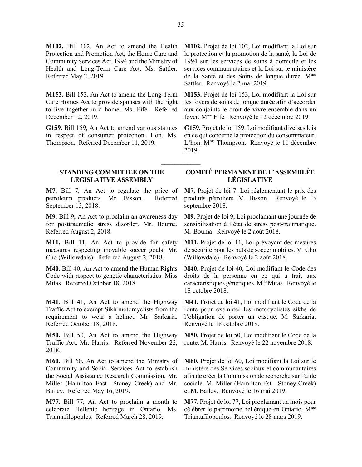**M102.** Bill 102, An Act to amend the Health Protection and Promotion Act, the Home Care and Community Services Act, 1994 and the Ministry of Health and Long-Term Care Act. Ms. Sattler. Referred May 2, 2019.

**M153.** Bill 153, An Act to amend the Long-Term Care Homes Act to provide spouses with the right to live together in a home. Ms. Fife. Referred December 12, 2019.

**G159.** Bill 159, An Act to amend various statutes in respect of consumer protection. Hon. Ms. Thompson. Referred December 11, 2019.

**STANDING COMMITTEE ON THE LEGISLATIVE ASSEMBLY**

**M7.** Bill 7, An Act to regulate the price of petroleum products. Mr. Bisson. Referred September 13, 2018.

**M9.** Bill 9, An Act to proclaim an awareness day for posttraumatic stress disorder. Mr. Bouma. Referred August 2, 2018.

**M11.** Bill 11, An Act to provide for safety measures respecting movable soccer goals. Mr. Cho (Willowdale). Referred August 2, 2018.

**M40.** Bill 40, An Act to amend the Human Rights Code with respect to genetic characteristics. Miss Mitas. Referred October 18, 2018.

**M41.** Bill 41, An Act to amend the Highway Traffic Act to exempt Sikh motorcyclists from the requirement to wear a helmet. Mr. Sarkaria. Referred October 18, 2018.

**M50.** Bill 50, An Act to amend the Highway Traffic Act. Mr. Harris. Referred November 22, 2018.

**M60.** Bill 60, An Act to amend the Ministry of Community and Social Services Act to establish the Social Assistance Research Commission. Mr. Miller (Hamilton East—Stoney Creek) and Mr. Bailey. Referred May 16, 2019.

**M77.** Bill 77, An Act to proclaim a month to celebrate Hellenic heritage in Ontario. Ms. Triantafilopoulos. Referred March 28, 2019.

**M102.** Projet de loi 102, Loi modifiant la Loi sur la protection et la promotion de la santé, la Loi de 1994 sur les services de soins à domicile et les services communautaires et la Loi sur le ministère de la Santé et des Soins de longue durée. Mme Sattler. Renvoyé le 2 mai 2019.

**M153.** Projet de loi 153, Loi modifiant la Loi sur les foyers de soins de longue durée afin d'accorder aux conjoints le droit de vivre ensemble dans un foyer. Mme Fife. Renvoyé le 12 décembre 2019.

**G159.** Projet de loi 159, Loi modifiant diverses lois en ce qui concerne la protection du consommateur. L'hon. M<sup>me</sup> Thompson. Renvoyé le 11 décembre 2019.

## **COMITÉ PERMANENT DE L'ASSEMBLÉE LÉGISLATIVE**

**M7.** Projet de loi 7, Loi réglementant le prix des produits pétroliers. M. Bisson. Renvoyé le 13 septembre 2018.

**M9.** Projet de loi 9, Loi proclamant une journée de sensibilisation à l'état de stress post-traumatique. M. Bouma. Renvoyé le 2 août 2018.

**M11.** Projet de loi 11, Loi prévoyant des mesures de sécurité pour les buts de soccer mobiles. M. Cho (Willowdale). Renvoyé le 2 août 2018.

**M40.** Projet de loi 40, Loi modifiant le Code des droits de la personne en ce qui a trait aux caractéristiques génétiques. M<sup>lle</sup> Mitas. Renvoyé le 18 octobre 2018.

**M41.** Projet de loi 41, Loi modifiant le Code de la route pour exempter les motocyclistes sikhs de l'obligation de porter un casque. M. Sarkaria. Renvoyé le 18 octobre 2018.

**M50.** Projet de loi 50, Loi modifiant le Code de la route. M. Harris. Renvoyé le 22 novembre 2018.

**M60.** Projet de loi 60, Loi modifiant la Loi sur le ministère des Services sociaux et communautaires afin de créer la Commission de recherche sur l'aide sociale. M. Miller (Hamilton-Est—Stoney Creek) et M. Bailey. Renvoyé le 16 mai 2019.

**M77.** Projet de loi 77, Loi proclamant un mois pour célébrer le patrimoine hellénique en Ontario. Mme Triantafilopoulos. Renvoyé le 28 mars 2019.

 $\frac{1}{2}$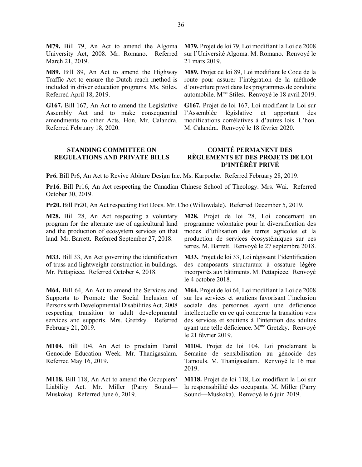**M79.** Bill 79, An Act to amend the Algoma University Act, 2008. Mr. Romano. Referred March 21, 2019.

**M89.** Bill 89, An Act to amend the Highway Traffic Act to ensure the Dutch reach method is included in driver education programs. Ms. Stiles. Referred April 18, 2019.

**G167.** Bill 167, An Act to amend the Legislative Assembly Act and to make consequential amendments to other Acts. Hon. Mr. Calandra. Referred February 18, 2020.

**M79.** Projet de loi 79, Loi modifiant la Loi de 2008 sur l'Université Algoma. M. Romano. Renvoyé le 21 mars 2019.

**M89.** Projet de loi 89, Loi modifiant le Code de la route pour assurer l'intégration de la méthode d'ouverture pivot dans les programmes de conduite automobile. Mme Stiles. Renvoyé le 18 avril 2019.

**G167.** Projet de loi 167, Loi modifiant la Loi sur l'Assemblée législative et apportant des modifications corrélatives à d'autres lois. L'hon. M. Calandra. Renvoyé le 18 février 2020.

#### **STANDING COMMITTEE ON REGULATIONS AND PRIVATE BILLS COMITÉ PERMANENT DES RÈGLEMENTS ET DES PROJETS DE LOI D'INTÉRÊT PRIVÉ**

 $\overline{\phantom{a}}$ 

**Pr6.** Bill Pr6, An Act to Revive Abitare Design Inc. Ms. Karpoche. Referred February 28, 2019.

**Pr16.** Bill Pr16, An Act respecting the Canadian Chinese School of Theology. Mrs. Wai. Referred October 30, 2019.

**Pr20.** Bill Pr20, An Act respecting Hot Docs. Mr. Cho (Willowdale). Referred December 5, 2019.

**M28.** Bill 28, An Act respecting a voluntary program for the alternate use of agricultural land and the production of ecosystem services on that land. Mr. Barrett. Referred September 27, 2018.

**M33.** Bill 33, An Act governing the identification of truss and lightweight construction in buildings. Mr. Pettapiece. Referred October 4, 2018.

**M64.** Bill 64, An Act to amend the Services and Supports to Promote the Social Inclusion of Persons with Developmental Disabilities Act, 2008 respecting transition to adult developmental services and supports. Mrs. Gretzky. Referred February 21, 2019.

**M104.** Bill 104, An Act to proclaim Tamil Genocide Education Week. Mr. Thanigasalam. Referred May 16, 2019.

**M118.** Bill 118, An Act to amend the Occupiers' Liability Act. Mr. Miller (Parry Sound— Muskoka). Referred June 6, 2019.

**M28.** Projet de loi 28, Loi concernant un programme volontaire pour la diversification des modes d'utilisation des terres agricoles et la production de services écosystémiques sur ces terres. M. Barrett. Renvoyé le 27 septembre 2018.

**M33.** Projet de loi 33, Loi régissant l'identification des composants structuraux à ossature légère incorporés aux bâtiments. M. Pettapiece. Renvoyé le 4 octobre 2018.

**M64.** Projet de loi 64, Loi modifiant la Loi de 2008 sur les services et soutiens favorisant l'inclusion sociale des personnes ayant une déficience intellectuelle en ce qui concerne la transition vers des services et soutiens à l'intention des adultes ayant une telle déficience. M<sup>me</sup> Gretzky. Renvoyé le 21 février 2019.

**M104.** Projet de loi 104, Loi proclamant la Semaine de sensibilisation au génocide des Tamouls. M. Thanigasalam. Renvoyé le 16 mai 2019.

**M118.** Projet de loi 118, Loi modifiant la Loi sur la responsabilité des occupants. M. Miller (Parry Sound—Muskoka). Renvoyé le 6 juin 2019.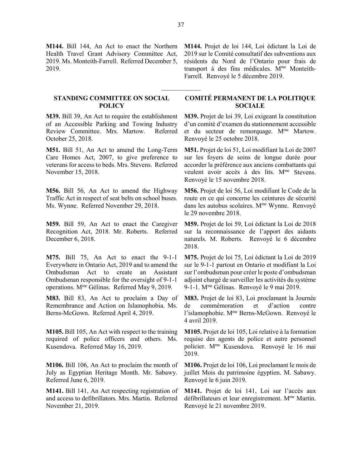**M144.** Bill 144, An Act to enact the Northern Health Travel Grant Advisory Committee Act, 2019. Ms. Monteith-Farrell. Referred December 5, 2019.

#### **STANDING COMMITTEE ON SOCIAL POLICY**

**M39.** Bill 39, An Act to require the establishment of an Accessible Parking and Towing Industry Review Committee. Mrs. Martow. Referred October 25, 2018.

**M51.** Bill 51, An Act to amend the Long-Term Care Homes Act, 2007, to give preference to veterans for access to beds. Mrs. Stevens. Referred November 15, 2018.

**M56.** Bill 56, An Act to amend the Highway Traffic Act in respect of seat belts on school buses. Ms. Wynne. Referred November 29, 2018.

**M59.** Bill 59, An Act to enact the Caregiver Recognition Act, 2018. Mr. Roberts. Referred December 6, 2018.

**M75.** Bill 75, An Act to enact the 9-1-1 Everywhere in Ontario Act, 2019 and to amend the Ombudsman Act to create an Assistant Ombudsman responsible for the oversight of 9-1-1 operations. Mme Gélinas. Referred May 9, 2019.

**M83.** Bill 83, An Act to proclaim a Day of Remembrance and Action on Islamophobia. Ms. Berns-McGown. Referred April 4, 2019.

**M105.** Bill 105, An Act with respect to the training required of police officers and others. Ms. Kusendova. Referred May 16, 2019.

**M106.** Bill 106, An Act to proclaim the month of July as Egyptian Heritage Month. Mr. Sabawy. Referred June 6, 2019.

**M141.** Bill 141, An Act respecting registration of and access to defibrillators. Mrs. Martin. Referred November 21, 2019.

**M144.** Projet de loi 144, Loi édictant la Loi de 2019 sur le Comité consultatif des subventions aux résidents du Nord de l'Ontario pour frais de transport à des fins médicales. M<sup>me</sup> Monteith-Farrell. Renvoyé le 5 décembre 2019.

## **COMITÉ PERMANENT DE LA POLITIQUE SOCIALE**

**M39.** Projet de loi 39, Loi exigeant la constitution d'un comité d'examen du stationnement accessible et du secteur de remorquage. M<sup>me</sup> Martow. Renvoyé le 25 octobre 2018.

**M51.** Projet de loi 51, Loi modifiant la Loi de 2007 sur les foyers de soins de longue durée pour accorder la préférence aux anciens combattants qui veulent avoir accès à des lits. M<sup>me</sup> Stevens. Renvoyé le 15 novembre 2018.

**M56.** Projet de loi 56, Loi modifiant le Code de la route en ce qui concerne les ceintures de sécurité dans les autobus scolaires. M<sup>me</sup> Wynne. Renvoyé le 29 novembre 2018.

**M59.** Projet de loi 59, Loi édictant la Loi de 2018 sur la reconnaissance de l'apport des aidants naturels. M. Roberts. Renvoyé le 6 décembre 2018.

**M75.** Projet de loi 75, Loi édictant la Loi de 2019 sur le 9-1-1 partout en Ontario et modifiant la Loi sur l'ombudsman pour créer le poste d'ombudsman adjoint chargé de surveiller les activités du système 9-1-1. M<sup>me</sup> Gélinas. Renvoyé le 9 mai 2019.

**M83.** Projet de loi 83, Loi proclamant la Journée de commémoration et d'action contre l'islamophobie. M<sup>me</sup> Berns-McGown. Renvoyé le 4 avril 2019.

**M105.** Projet de loi 105, Loi relative à la formation requise des agents de police et autre personnel policier. Mme Kusendova. Renvoyé le 16 mai 2019.

**M106.** Projet de loi 106, Loi proclamant le mois de juillet Mois du patrimoine égyptien. M. Sabawy. Renvoyé le 6 juin 2019.

**M141.** Projet de loi 141, Loi sur l'accès aux défibrillateurs et leur enregistrement. M<sup>me</sup> Martin. Renvoyé le 21 novembre 2019.

 $\frac{1}{2}$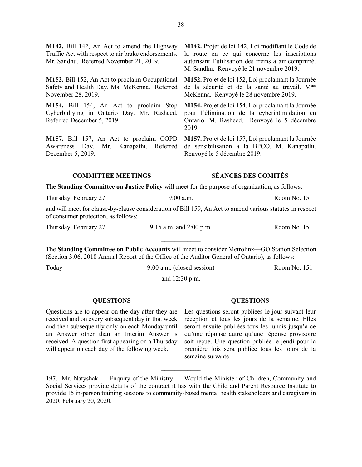**M142.** Bill 142, An Act to amend the Highway Traffic Act with respect to air brake endorsements. Mr. Sandhu. Referred November 21, 2019.

**M152.** Bill 152, An Act to proclaim Occupational Safety and Health Day. Ms. McKenna. Referred November 28, 2019.

**M154.** Bill 154, An Act to proclaim Stop Cyberbullying in Ontario Day. Mr. Rasheed. Referred December 5, 2019.

**M157.** Bill 157, An Act to proclaim COPD Awareness Day. Mr. Kanapathi. Referred December 5, 2019.

**M142.** Projet de loi 142, Loi modifiant le Code de la route en ce qui concerne les inscriptions autorisant l'utilisation des freins à air comprimé. M. Sandhu. Renvoyé le 21 novembre 2019.

**M152.** Projet de loi 152, Loi proclamant la Journée de la sécurité et de la santé au travail. Mme McKenna. Renvoyé le 28 novembre 2019.

**M154.** Projet de loi 154, Loi proclamant la Journée pour l'élimination de la cyberintimidation en Ontario. M. Rasheed. Renvoyé le 5 décembre 2019.

**M157.** Projet de loi 157, Loi proclamant la Journée de sensibilisation à la BPCO. M. Kanapathi. Renvoyé le 5 décembre 2019.

### **COMMITTEE MEETINGS SÉANCES DES COMITÉS**

The **Standing Committee on Justice Policy** will meet for the purpose of organization, as follows:

 $\_$  , and the set of the set of the set of the set of the set of the set of the set of the set of the set of the set of the set of the set of the set of the set of the set of the set of the set of the set of the set of th

Thursday, February 27 9:00 a.m. Because 8 a.m. Room No. 151

and will meet for clause-by-clause consideration of Bill 159, An Act to amend various statutes in respect of consumer protection, as follows:

Thursday, February 27 9:15 a.m. and 2:00 p.m. Room No. 151

 $\frac{1}{2}$ 

The **Standing Committee on Public Accounts** will meet to consider Metrolinx—GO Station Selection (Section 3.06, 2018 Annual Report of the Office of the Auditor General of Ontario), as follows:

Today 9:00 a.m. (closed session) Room No. 151

and 12:30 p.m.  $\_$  , and the set of the set of the set of the set of the set of the set of the set of the set of the set of the set of the set of the set of the set of the set of the set of the set of the set of the set of the set of th

Questions are to appear on the day after they are received and on every subsequent day in that week and then subsequently only on each Monday until an Answer other than an Interim Answer is received. A question first appearing on a Thursday will appear on each day of the following week.

### **QUESTIONS QUESTIONS**

Les questions seront publiées le jour suivant leur réception et tous les jours de la semaine. Elles seront ensuite publiées tous les lundis jusqu'à ce qu'une réponse autre qu'une réponse provisoire soit reçue. Une question publiée le jeudi pour la première fois sera publiée tous les jours de la semaine suivante.

197. Mr. Natyshak — Enquiry of the Ministry — Would the Minister of Children, Community and Social Services provide details of the contract it has with the Child and Parent Resource Institute to provide 15 in-person training sessions to community-based mental health stakeholders and caregivers in 2020. February 20, 2020.

 $\frac{1}{2}$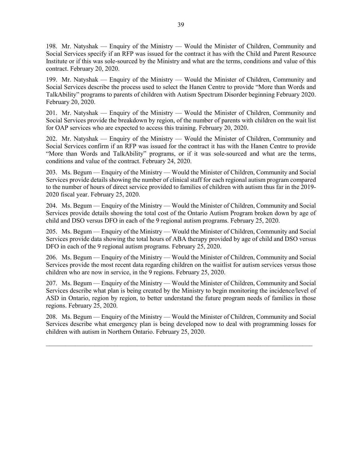198. Mr. Natyshak — Enquiry of the Ministry — Would the Minister of Children, Community and Social Services specify if an RFP was issued for the contract it has with the Child and Parent Resource Institute or if this was sole-sourced by the Ministry and what are the terms, conditions and value of this contract. February 20, 2020.

199. Mr. Natyshak — Enquiry of the Ministry — Would the Minister of Children, Community and Social Services describe the process used to select the Hanen Centre to provide "More than Words and TalkAbility" programs to parents of children with Autism Spectrum Disorder beginning February 2020. February 20, 2020.

201. Mr. Natyshak — Enquiry of the Ministry — Would the Minister of Children, Community and Social Services provide the breakdown by region, of the number of parents with children on the wait list for OAP services who are expected to access this training. February 20, 2020.

202. Mr. Natyshak — Enquiry of the Ministry — Would the Minister of Children, Community and Social Services confirm if an RFP was issued for the contract it has with the Hanen Centre to provide "More than Words and TalkAbility" programs, or if it was sole-sourced and what are the terms, conditions and value of the contract. February 24, 2020.

203. Ms. Begum — Enquiry of the Ministry — Would the Minister of Children, Community and Social Services provide details showing the number of clinical staff for each regional autism program compared to the number of hours of direct service provided to families of children with autism thus far in the 2019- 2020 fiscal year. February 25, 2020.

204. Ms. Begum — Enquiry of the Ministry — Would the Minister of Children, Community and Social Services provide details showing the total cost of the Ontario Autism Program broken down by age of child and DSO versus DFO in each of the 9 regional autism programs. February 25, 2020.

205. Ms. Begum — Enquiry of the Ministry — Would the Minister of Children, Community and Social Services provide data showing the total hours of ABA therapy provided by age of child and DSO versus DFO in each of the 9 regional autism programs. February 25, 2020.

206. Ms. Begum — Enquiry of the Ministry — Would the Minister of Children, Community and Social Services provide the most recent data regarding children on the waitlist for autism services versus those children who are now in service, in the 9 regions. February 25, 2020.

207. Ms. Begum — Enquiry of the Ministry — Would the Minister of Children, Community and Social Services describe what plan is being created by the Ministry to begin monitoring the incidence/level of ASD in Ontario, region by region, to better understand the future program needs of families in those regions. February 25, 2020.

208. Ms. Begum — Enquiry of the Ministry — Would the Minister of Children, Community and Social Services describe what emergency plan is being developed now to deal with programming losses for children with autism in Northern Ontario. February 25, 2020.

 $\_$  , and the set of the set of the set of the set of the set of the set of the set of the set of the set of the set of the set of the set of the set of the set of the set of the set of the set of the set of the set of th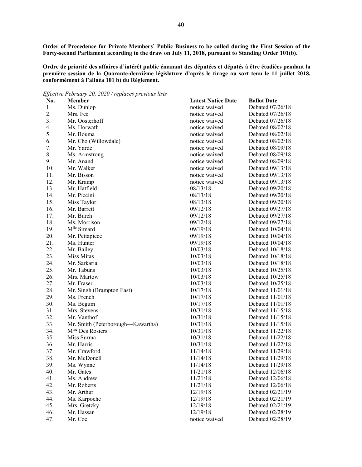**Order of Precedence for Private Members' Public Business to be called during the First Session of the Forty-second Parliament according to the draw on July 11, 2018, pursuant to Standing Order 101(b).**

**Ordre de priorité des affaires d'intérêt public émanant des députées et députés à être étudiées pendant la première session de la Quarante-deuxième législature d'après le tirage au sort tenu le 11 juillet 2018, conformément à l'alinéa 101 b) du Règlement.**

*Effective February 20, 2020 / replaces previous lists*

| IJ<br>No. | Member                            | <b>Latest Notice Date</b> | <b>Ballot Date</b> |
|-----------|-----------------------------------|---------------------------|--------------------|
| 1.        | Ms. Dunlop                        | notice waived             | Debated 07/26/18   |
| 2.        | Mrs. Fee                          | notice waived             | Debated 07/26/18   |
| 3.        | Mr. Oosterhoff                    | notice waived             | Debated 07/26/18   |
| 4.        | Ms. Horwath                       | notice waived             | Debated 08/02/18   |
| 5.        | Mr. Bouma                         | notice waived             | Debated 08/02/18   |
| 6.        | Mr. Cho (Willowdale)              | notice waived             | Debated 08/02/18   |
| 7.        | Mr. Yarde                         | notice waived             | Debated 08/09/18   |
| 8.        | Ms. Armstrong                     | notice waived             | Debated 08/09/18   |
| 9.        | Mr. Anand                         | notice waived             | Debated 08/09/18   |
| 10.       | Mr. Walker                        | notice waived             | Debated 09/13/18   |
| 11.       | Mr. Bisson                        | notice waived             | Debated 09/13/18   |
| 12.       | Mr. Kramp                         | notice waived             | Debated 09/13/18   |
| 13.       | Mr. Hatfield                      | 08/13/18                  | Debated 09/20/18   |
| 14.       | Mr. Piccini                       | 08/13/18                  | Debated 09/20/18   |
| 15.       | Miss Taylor                       | 08/13/18                  | Debated 09/20/18   |
| 16.       | Mr. Barrett                       | 09/12/18                  | Debated 09/27/18   |
| 17.       | Mr. Burch                         | 09/12/18                  | Debated 09/27/18   |
| 18.       | Ms. Morrison                      | 09/12/18                  | Debated 09/27/18   |
| 19.       | M <sup>lle</sup> Simard           | 09/19/18                  | Debated 10/04/18   |
| 20.       | Mr. Pettapiece                    | 09/19/18                  | Debated 10/04/18   |
| 21.       | Ms. Hunter                        | 09/19/18                  | Debated 10/04/18   |
| 22.       | Mr. Bailey                        | 10/03/18                  | Debated 10/18/18   |
| 23.       | Miss Mitas                        | 10/03/18                  | Debated 10/18/18   |
| 24.       | Mr. Sarkaria                      | 10/03/18                  | Debated 10/18/18   |
| 25.       | Mr. Tabuns                        | 10/03/18                  | Debated 10/25/18   |
| 26.       | Mrs. Martow                       | 10/03/18                  | Debated 10/25/18   |
| 27.       | Mr. Fraser                        | 10/03/18                  | Debated 10/25/18   |
| 28.       | Mr. Singh (Brampton East)         | 10/17/18                  | Debated 11/01/18   |
| 29.       | Ms. French                        | 10/17/18                  | Debated 11/01/18   |
| 30.       | Ms. Begum                         | 10/17/18                  | Debated 11/01/18   |
| 31.       | Mrs. Stevens                      | 10/31/18                  | Debated 11/15/18   |
| 32.       | Mr. Vanthof                       | 10/31/18                  | Debated 11/15/18   |
| 33.       | Mr. Smith (Peterborough-Kawartha) | 10/31/18                  | Debated 11/15/18   |
| 34.       | M <sup>me</sup> Des Rosiers       | 10/31/18                  | Debated 11/22/18   |
| 35.       | Miss Surma                        | 10/31/18                  | Debated 11/22/18   |
| 36.       | Mr. Harris                        | 10/31/18                  | Debated 11/22/18   |
| 37.       | Mr. Crawford                      | 11/14/18                  | Debated 11/29/18   |
| 38.       | Mr. McDonell                      | 11/14/18                  | Debated 11/29/18   |
| 39.       | Ms. Wynne                         | 11/14/18                  | Debated 11/29/18   |
| 40.       | Mr. Gates                         | 11/21/18                  | Debated 12/06/18   |
| 41.       | Ms. Andrew                        | 11/21/18                  | Debated 12/06/18   |
| 42.       | Mr. Roberts                       | 11/21/18                  | Debated 12/06/18   |
| 43.       | Mr. Arthur                        | 12/19/18                  | Debated 02/21/19   |
| 44.       | Ms. Karpoche                      | 12/19/18                  | Debated 02/21/19   |
| 45.       | Mrs. Gretzky                      | 12/19/18                  | Debated 02/21/19   |
| 46.       | Mr. Hassan                        | 12/19/18                  | Debated 02/28/19   |
| 47.       | Mr. Coe                           | notice waived             | Debated 02/28/19   |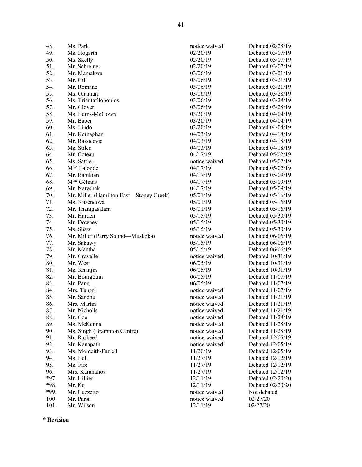49. Ms. Hogarth 02/20/19 Debated 03/07/19 50. Ms. Skelly 02/20/19 Debated 03/07/19 51. Mr. Schreiner 02/20/19 Debated 03/07/19 52. Mr. Mamakwa 03/06/19 Debated 03/21/19 53. Mr. Gill 03/06/19 Debated 03/21/19 54. Mr. Romano 03/06/19 Debated 03/21/19 55. Ms. Ghamari 03/06/19 Debated 03/28/19 56. Ms. Triantafilopoulos 03/06/19 Debated 03/28/19 57. Mr. Glover 03/06/19 Debated 03/28/19 58. Ms. Berns-McGown 03/20/19 Debated 04/04/19<br>59. Mr. Baber 03/20/19 Debated 04/04/19 60. Ms. Lindo 03/20/19 Debated 04/04/19 61. Mr. Kernaghan 04/03/19 Debated 04/18/19 62. Mr. Rakocevic 04/03/19 Debated 04/18/19 63. Ms. Stiles 04/03/19 Debated 04/18/19 64. Mr. Coteau 04/17/19 Debated 05/02/19 65. Ms. Sattler notice waived Debated 05/02/19 66. Mme Lalonde 04/17/19 Debated 05/02/19 67. Mr. Babikian  $04/17/19$  Debated 05/09/19 <br>68. M<sup>me</sup> Gélinas 04/17/19 Debated 05/09/19 68. Mme Gélinas 04/17/19 Debated 05/09/19 69. Mr. Natyshak 04/17/19 Debated 05/09/19 70. Mr. Miller (Hamilton East—Stoney Creek)  $0.5/01/19$  Debated 05/16/19<br>
71. Ms. Kusendova 05/01/19 Debated 05/16/19 71. Ms. Kusendova 05/01/19 Debated 05/16/19 72. Mr. Thanigasalam 05/01/19 Debated 05/16/19 73. Mr. Harden 05/15/19 Debated 05/30/19 74. Mr. Downey 05/15/19 Debated 05/30/19 75. Ms. Shaw 05/15/19 Debated 05/30/19 76. Mr. Miller (Parry Sound—Muskoka) notice waived Debated 06/06/19<br>77. Mr. Sabawy 05/15/19 Debated 06/06/19 Mr. Sabawy 05/15/19 Debated 06/06/19 78. Mr. Mantha 05/15/19 Debated 06/06/19 79. Mr. Gravelle notice waived Debated 10/31/19 80. Mr. West 06/05/19 Debated 10/31/19 81. Ms. Khanjin 06/05/19 Debated 10/31/19 82. Mr. Bourgouin 06/05/19 Debated 11/07/19 83. Mr. Pang 06/05/19 Debated 11/07/19 84. Mrs. Tangri 1988 and 11/07/19 motice waived Debated 11/07/19 85. Mr. Sandhu notice waived Debated 11/21/19 86. Mrs. Martin 2008 and the motion waived Debated 11/21/19 87. Mr. Nicholls **notice waived** Debated 11/21/19 88. Mr. Coe notice waived Debated 11/28/19<br>89. Ms. McKenna and the notice waived Debated 11/28/19 Ms. McKenna **notice** waived Debated 11/28/19 90. Ms. Singh (Brampton Centre) notice waived Debated 11/28/19 91. Mr. Rasheed notice waived Debated 12/05/19<br>92. Mr. Kanapathi https://www.intime.org/waived Debated 12/05/19 92. Mr. Kanapathi notice waived Debated 12/05/19 93. Ms. Monteith-Farrell 11/20/19 Debated 12/05/19 94. Ms. Bell 11/27/19 Debated 12/12/19<br>95 Ms. Fife 11/27/19 Debated 12/12/19 95. Ms. Fife 11/27/19 Debated 12/12/19 96. Mrs. Karahalios 11/27/19 Debated 12/12/19 \*97. Mr. Hillier 12/11/19 Debated 02/20/20 \*98. Mr. Ke 12/11/19 Debated 02/20/20 \*99. Mr. Cuzzetto notice waived Not debated

48. Ms. Park notice waived Debated 02/28/19 03/20/19 Debated 04/04/19 100. Mr. Parsa notice waived  $02/27/20$ <br>101. Mr. Wilson 12/11/19 02/27/20 101. Mr. Wilson 2012/11/19 02/27/20

**\* Revision**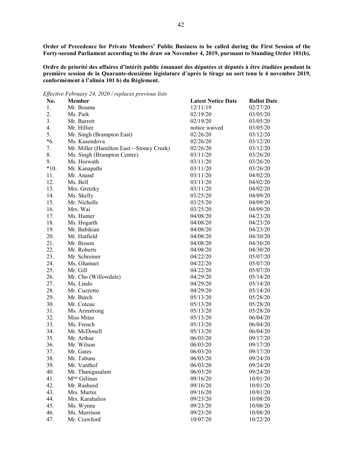**Order of Precedence for Private Members' Public Business to be called during the First Session of the Forty-second Parliament according to the draw on November 4, 2019, pursuant to Standing Order 101(b).**

**Ordre de priorité des affaires d'intérêt public émanant des députées et députés à être étudiées pendant la première session de la Quarante-deuxième législature d'après le tirage au sort tenu le 4 novembre 2019, conformément à l'alinéa 101 b) du Règlement.**

*Effective February 24, 2020 / replaces previous lists*

| 02/27/20<br>1.<br>Mr. Bouma<br>12/11/19<br>2.<br>Ms. Park<br>02/19/20<br>03/05/20<br>3.<br>Mr. Barrett<br>02/19/20<br>03/05/20<br>4.<br>Mr. Hillier<br>notice waived<br>03/05/20<br>5.<br>Mr. Singh (Brampton East)<br>02/26/20<br>03/12/20<br>$*6.$<br>Ms. Kusendova<br>02/26/20<br>03/12/20<br>7.<br>Mr. Miller (Hamilton East-Stoney Creek)<br>02/26/20<br>03/12/20<br>8.<br>03/11/20<br>03/26/20<br>Ms. Singh (Brampton Centre)<br>9.<br>Ms. Horwath<br>03/11/20<br>03/26/20<br>$*10.$<br>Mr. Kanapathi<br>03/11/20<br>03/26/20<br>11.<br>Mr. Anand<br>03/11/20<br>04/02/20<br>12.<br>Ms. Bell<br>04/02/20<br>03/11/20<br>13.<br>Mrs. Gretzky<br>03/11/20<br>04/02/20<br>14.<br>Ms. Skelly<br>03/25/20<br>04/09/20<br>15.<br>Mr. Nicholls<br>03/25/20<br>04/09/20<br>16.<br>Mrs. Wai<br>03/25/20<br>04/09/20<br>17.<br>Ms. Hunter<br>04/08/20<br>04/23/20<br>18.<br>Ms. Hogarth<br>04/23/20<br>04/08/20<br>19.<br>Mr. Babikian<br>04/08/20<br>04/23/20<br>20.<br>Mr. Hatfield<br>04/30/20<br>04/08/20<br>21.<br>Mr. Bisson<br>04/08/20<br>04/30/20<br>22.<br>Mr. Roberts<br>04/08/20<br>04/30/20<br>23.<br>Mr. Schreiner<br>04/22/20<br>05/07/20<br>24.<br>Ms. Ghamari<br>04/22/20<br>05/07/20<br>25.<br>Mr. Gill<br>04/22/20<br>05/07/20<br>26.<br>Mr. Cho (Willowdale)<br>04/29/20<br>05/14/20<br>27.<br>Ms. Lindo<br>04/29/20<br>05/14/20<br>28.<br>Mr. Cuzzetto<br>04/29/20<br>05/14/20<br>29.<br>Mr. Burch<br>05/13/20<br>05/28/20<br>30.<br>Mr. Coteau<br>05/28/20<br>05/13/20<br>31.<br>05/13/20<br>05/28/20<br>Ms. Armstrong<br>32.<br>Miss Mitas<br>06/04/20<br>05/13/20<br>33.<br>Ms. French<br>05/13/20<br>06/04/20<br>34.<br>Mr. McDonell<br>05/13/20<br>06/04/20<br>35.<br>Mr. Arthur<br>06/03/20<br>09/17/20<br>36.<br>Mr. Wilson<br>06/03/20<br>09/17/20<br>37.<br>Mr. Gates<br>06/03/20<br>09/17/20<br>38.<br>Mr. Tabuns<br>06/03/20<br>09/24/20<br>Mr. Vanthof<br>06/03/20<br>09/24/20<br>39.<br>40.<br>Mr. Thanigasalam<br>06/03/20<br>09/24/20<br>M <sup>me</sup> Gélinas<br>41.<br>09/16/20<br>10/01/20<br>42.<br>Mr. Rasheed<br>09/16/20<br>10/01/20<br>43.<br>Mrs. Martin<br>09/16/20<br>10/01/20<br>44.<br>Mrs. Karahalios<br>09/23/20<br>10/08/20<br>45.<br>Ms. Wynne<br>09/23/20<br>10/08/20<br>46.<br>Ms. Morrison<br>09/23/20<br>10/08/20 | No. | Member       | <b>Latest Notice Date</b> | <b>Ballot Date</b> |
|--------------------------------------------------------------------------------------------------------------------------------------------------------------------------------------------------------------------------------------------------------------------------------------------------------------------------------------------------------------------------------------------------------------------------------------------------------------------------------------------------------------------------------------------------------------------------------------------------------------------------------------------------------------------------------------------------------------------------------------------------------------------------------------------------------------------------------------------------------------------------------------------------------------------------------------------------------------------------------------------------------------------------------------------------------------------------------------------------------------------------------------------------------------------------------------------------------------------------------------------------------------------------------------------------------------------------------------------------------------------------------------------------------------------------------------------------------------------------------------------------------------------------------------------------------------------------------------------------------------------------------------------------------------------------------------------------------------------------------------------------------------------------------------------------------------------------------------------------------------------------------------------------------------------------------------------------------------------------------------------------------------------------------------------------------------------------------------------------------------------------------------------------------------------------------------------------------------------------------------------------------------------------|-----|--------------|---------------------------|--------------------|
|                                                                                                                                                                                                                                                                                                                                                                                                                                                                                                                                                                                                                                                                                                                                                                                                                                                                                                                                                                                                                                                                                                                                                                                                                                                                                                                                                                                                                                                                                                                                                                                                                                                                                                                                                                                                                                                                                                                                                                                                                                                                                                                                                                                                                                                                          |     |              |                           |                    |
|                                                                                                                                                                                                                                                                                                                                                                                                                                                                                                                                                                                                                                                                                                                                                                                                                                                                                                                                                                                                                                                                                                                                                                                                                                                                                                                                                                                                                                                                                                                                                                                                                                                                                                                                                                                                                                                                                                                                                                                                                                                                                                                                                                                                                                                                          |     |              |                           |                    |
|                                                                                                                                                                                                                                                                                                                                                                                                                                                                                                                                                                                                                                                                                                                                                                                                                                                                                                                                                                                                                                                                                                                                                                                                                                                                                                                                                                                                                                                                                                                                                                                                                                                                                                                                                                                                                                                                                                                                                                                                                                                                                                                                                                                                                                                                          |     |              |                           |                    |
|                                                                                                                                                                                                                                                                                                                                                                                                                                                                                                                                                                                                                                                                                                                                                                                                                                                                                                                                                                                                                                                                                                                                                                                                                                                                                                                                                                                                                                                                                                                                                                                                                                                                                                                                                                                                                                                                                                                                                                                                                                                                                                                                                                                                                                                                          |     |              |                           |                    |
|                                                                                                                                                                                                                                                                                                                                                                                                                                                                                                                                                                                                                                                                                                                                                                                                                                                                                                                                                                                                                                                                                                                                                                                                                                                                                                                                                                                                                                                                                                                                                                                                                                                                                                                                                                                                                                                                                                                                                                                                                                                                                                                                                                                                                                                                          |     |              |                           |                    |
|                                                                                                                                                                                                                                                                                                                                                                                                                                                                                                                                                                                                                                                                                                                                                                                                                                                                                                                                                                                                                                                                                                                                                                                                                                                                                                                                                                                                                                                                                                                                                                                                                                                                                                                                                                                                                                                                                                                                                                                                                                                                                                                                                                                                                                                                          |     |              |                           |                    |
|                                                                                                                                                                                                                                                                                                                                                                                                                                                                                                                                                                                                                                                                                                                                                                                                                                                                                                                                                                                                                                                                                                                                                                                                                                                                                                                                                                                                                                                                                                                                                                                                                                                                                                                                                                                                                                                                                                                                                                                                                                                                                                                                                                                                                                                                          |     |              |                           |                    |
|                                                                                                                                                                                                                                                                                                                                                                                                                                                                                                                                                                                                                                                                                                                                                                                                                                                                                                                                                                                                                                                                                                                                                                                                                                                                                                                                                                                                                                                                                                                                                                                                                                                                                                                                                                                                                                                                                                                                                                                                                                                                                                                                                                                                                                                                          |     |              |                           |                    |
|                                                                                                                                                                                                                                                                                                                                                                                                                                                                                                                                                                                                                                                                                                                                                                                                                                                                                                                                                                                                                                                                                                                                                                                                                                                                                                                                                                                                                                                                                                                                                                                                                                                                                                                                                                                                                                                                                                                                                                                                                                                                                                                                                                                                                                                                          |     |              |                           |                    |
|                                                                                                                                                                                                                                                                                                                                                                                                                                                                                                                                                                                                                                                                                                                                                                                                                                                                                                                                                                                                                                                                                                                                                                                                                                                                                                                                                                                                                                                                                                                                                                                                                                                                                                                                                                                                                                                                                                                                                                                                                                                                                                                                                                                                                                                                          |     |              |                           |                    |
|                                                                                                                                                                                                                                                                                                                                                                                                                                                                                                                                                                                                                                                                                                                                                                                                                                                                                                                                                                                                                                                                                                                                                                                                                                                                                                                                                                                                                                                                                                                                                                                                                                                                                                                                                                                                                                                                                                                                                                                                                                                                                                                                                                                                                                                                          |     |              |                           |                    |
|                                                                                                                                                                                                                                                                                                                                                                                                                                                                                                                                                                                                                                                                                                                                                                                                                                                                                                                                                                                                                                                                                                                                                                                                                                                                                                                                                                                                                                                                                                                                                                                                                                                                                                                                                                                                                                                                                                                                                                                                                                                                                                                                                                                                                                                                          |     |              |                           |                    |
|                                                                                                                                                                                                                                                                                                                                                                                                                                                                                                                                                                                                                                                                                                                                                                                                                                                                                                                                                                                                                                                                                                                                                                                                                                                                                                                                                                                                                                                                                                                                                                                                                                                                                                                                                                                                                                                                                                                                                                                                                                                                                                                                                                                                                                                                          |     |              |                           |                    |
|                                                                                                                                                                                                                                                                                                                                                                                                                                                                                                                                                                                                                                                                                                                                                                                                                                                                                                                                                                                                                                                                                                                                                                                                                                                                                                                                                                                                                                                                                                                                                                                                                                                                                                                                                                                                                                                                                                                                                                                                                                                                                                                                                                                                                                                                          |     |              |                           |                    |
|                                                                                                                                                                                                                                                                                                                                                                                                                                                                                                                                                                                                                                                                                                                                                                                                                                                                                                                                                                                                                                                                                                                                                                                                                                                                                                                                                                                                                                                                                                                                                                                                                                                                                                                                                                                                                                                                                                                                                                                                                                                                                                                                                                                                                                                                          |     |              |                           |                    |
|                                                                                                                                                                                                                                                                                                                                                                                                                                                                                                                                                                                                                                                                                                                                                                                                                                                                                                                                                                                                                                                                                                                                                                                                                                                                                                                                                                                                                                                                                                                                                                                                                                                                                                                                                                                                                                                                                                                                                                                                                                                                                                                                                                                                                                                                          |     |              |                           |                    |
|                                                                                                                                                                                                                                                                                                                                                                                                                                                                                                                                                                                                                                                                                                                                                                                                                                                                                                                                                                                                                                                                                                                                                                                                                                                                                                                                                                                                                                                                                                                                                                                                                                                                                                                                                                                                                                                                                                                                                                                                                                                                                                                                                                                                                                                                          |     |              |                           |                    |
|                                                                                                                                                                                                                                                                                                                                                                                                                                                                                                                                                                                                                                                                                                                                                                                                                                                                                                                                                                                                                                                                                                                                                                                                                                                                                                                                                                                                                                                                                                                                                                                                                                                                                                                                                                                                                                                                                                                                                                                                                                                                                                                                                                                                                                                                          |     |              |                           |                    |
|                                                                                                                                                                                                                                                                                                                                                                                                                                                                                                                                                                                                                                                                                                                                                                                                                                                                                                                                                                                                                                                                                                                                                                                                                                                                                                                                                                                                                                                                                                                                                                                                                                                                                                                                                                                                                                                                                                                                                                                                                                                                                                                                                                                                                                                                          |     |              |                           |                    |
|                                                                                                                                                                                                                                                                                                                                                                                                                                                                                                                                                                                                                                                                                                                                                                                                                                                                                                                                                                                                                                                                                                                                                                                                                                                                                                                                                                                                                                                                                                                                                                                                                                                                                                                                                                                                                                                                                                                                                                                                                                                                                                                                                                                                                                                                          |     |              |                           |                    |
|                                                                                                                                                                                                                                                                                                                                                                                                                                                                                                                                                                                                                                                                                                                                                                                                                                                                                                                                                                                                                                                                                                                                                                                                                                                                                                                                                                                                                                                                                                                                                                                                                                                                                                                                                                                                                                                                                                                                                                                                                                                                                                                                                                                                                                                                          |     |              |                           |                    |
|                                                                                                                                                                                                                                                                                                                                                                                                                                                                                                                                                                                                                                                                                                                                                                                                                                                                                                                                                                                                                                                                                                                                                                                                                                                                                                                                                                                                                                                                                                                                                                                                                                                                                                                                                                                                                                                                                                                                                                                                                                                                                                                                                                                                                                                                          |     |              |                           |                    |
|                                                                                                                                                                                                                                                                                                                                                                                                                                                                                                                                                                                                                                                                                                                                                                                                                                                                                                                                                                                                                                                                                                                                                                                                                                                                                                                                                                                                                                                                                                                                                                                                                                                                                                                                                                                                                                                                                                                                                                                                                                                                                                                                                                                                                                                                          |     |              |                           |                    |
|                                                                                                                                                                                                                                                                                                                                                                                                                                                                                                                                                                                                                                                                                                                                                                                                                                                                                                                                                                                                                                                                                                                                                                                                                                                                                                                                                                                                                                                                                                                                                                                                                                                                                                                                                                                                                                                                                                                                                                                                                                                                                                                                                                                                                                                                          |     |              |                           |                    |
|                                                                                                                                                                                                                                                                                                                                                                                                                                                                                                                                                                                                                                                                                                                                                                                                                                                                                                                                                                                                                                                                                                                                                                                                                                                                                                                                                                                                                                                                                                                                                                                                                                                                                                                                                                                                                                                                                                                                                                                                                                                                                                                                                                                                                                                                          |     |              |                           |                    |
|                                                                                                                                                                                                                                                                                                                                                                                                                                                                                                                                                                                                                                                                                                                                                                                                                                                                                                                                                                                                                                                                                                                                                                                                                                                                                                                                                                                                                                                                                                                                                                                                                                                                                                                                                                                                                                                                                                                                                                                                                                                                                                                                                                                                                                                                          |     |              |                           |                    |
|                                                                                                                                                                                                                                                                                                                                                                                                                                                                                                                                                                                                                                                                                                                                                                                                                                                                                                                                                                                                                                                                                                                                                                                                                                                                                                                                                                                                                                                                                                                                                                                                                                                                                                                                                                                                                                                                                                                                                                                                                                                                                                                                                                                                                                                                          |     |              |                           |                    |
|                                                                                                                                                                                                                                                                                                                                                                                                                                                                                                                                                                                                                                                                                                                                                                                                                                                                                                                                                                                                                                                                                                                                                                                                                                                                                                                                                                                                                                                                                                                                                                                                                                                                                                                                                                                                                                                                                                                                                                                                                                                                                                                                                                                                                                                                          |     |              |                           |                    |
|                                                                                                                                                                                                                                                                                                                                                                                                                                                                                                                                                                                                                                                                                                                                                                                                                                                                                                                                                                                                                                                                                                                                                                                                                                                                                                                                                                                                                                                                                                                                                                                                                                                                                                                                                                                                                                                                                                                                                                                                                                                                                                                                                                                                                                                                          |     |              |                           |                    |
|                                                                                                                                                                                                                                                                                                                                                                                                                                                                                                                                                                                                                                                                                                                                                                                                                                                                                                                                                                                                                                                                                                                                                                                                                                                                                                                                                                                                                                                                                                                                                                                                                                                                                                                                                                                                                                                                                                                                                                                                                                                                                                                                                                                                                                                                          |     |              |                           |                    |
|                                                                                                                                                                                                                                                                                                                                                                                                                                                                                                                                                                                                                                                                                                                                                                                                                                                                                                                                                                                                                                                                                                                                                                                                                                                                                                                                                                                                                                                                                                                                                                                                                                                                                                                                                                                                                                                                                                                                                                                                                                                                                                                                                                                                                                                                          |     |              |                           |                    |
|                                                                                                                                                                                                                                                                                                                                                                                                                                                                                                                                                                                                                                                                                                                                                                                                                                                                                                                                                                                                                                                                                                                                                                                                                                                                                                                                                                                                                                                                                                                                                                                                                                                                                                                                                                                                                                                                                                                                                                                                                                                                                                                                                                                                                                                                          |     |              |                           |                    |
|                                                                                                                                                                                                                                                                                                                                                                                                                                                                                                                                                                                                                                                                                                                                                                                                                                                                                                                                                                                                                                                                                                                                                                                                                                                                                                                                                                                                                                                                                                                                                                                                                                                                                                                                                                                                                                                                                                                                                                                                                                                                                                                                                                                                                                                                          |     |              |                           |                    |
|                                                                                                                                                                                                                                                                                                                                                                                                                                                                                                                                                                                                                                                                                                                                                                                                                                                                                                                                                                                                                                                                                                                                                                                                                                                                                                                                                                                                                                                                                                                                                                                                                                                                                                                                                                                                                                                                                                                                                                                                                                                                                                                                                                                                                                                                          |     |              |                           |                    |
|                                                                                                                                                                                                                                                                                                                                                                                                                                                                                                                                                                                                                                                                                                                                                                                                                                                                                                                                                                                                                                                                                                                                                                                                                                                                                                                                                                                                                                                                                                                                                                                                                                                                                                                                                                                                                                                                                                                                                                                                                                                                                                                                                                                                                                                                          |     |              |                           |                    |
|                                                                                                                                                                                                                                                                                                                                                                                                                                                                                                                                                                                                                                                                                                                                                                                                                                                                                                                                                                                                                                                                                                                                                                                                                                                                                                                                                                                                                                                                                                                                                                                                                                                                                                                                                                                                                                                                                                                                                                                                                                                                                                                                                                                                                                                                          |     |              |                           |                    |
|                                                                                                                                                                                                                                                                                                                                                                                                                                                                                                                                                                                                                                                                                                                                                                                                                                                                                                                                                                                                                                                                                                                                                                                                                                                                                                                                                                                                                                                                                                                                                                                                                                                                                                                                                                                                                                                                                                                                                                                                                                                                                                                                                                                                                                                                          |     |              |                           |                    |
|                                                                                                                                                                                                                                                                                                                                                                                                                                                                                                                                                                                                                                                                                                                                                                                                                                                                                                                                                                                                                                                                                                                                                                                                                                                                                                                                                                                                                                                                                                                                                                                                                                                                                                                                                                                                                                                                                                                                                                                                                                                                                                                                                                                                                                                                          |     |              |                           |                    |
|                                                                                                                                                                                                                                                                                                                                                                                                                                                                                                                                                                                                                                                                                                                                                                                                                                                                                                                                                                                                                                                                                                                                                                                                                                                                                                                                                                                                                                                                                                                                                                                                                                                                                                                                                                                                                                                                                                                                                                                                                                                                                                                                                                                                                                                                          |     |              |                           |                    |
|                                                                                                                                                                                                                                                                                                                                                                                                                                                                                                                                                                                                                                                                                                                                                                                                                                                                                                                                                                                                                                                                                                                                                                                                                                                                                                                                                                                                                                                                                                                                                                                                                                                                                                                                                                                                                                                                                                                                                                                                                                                                                                                                                                                                                                                                          |     |              |                           |                    |
|                                                                                                                                                                                                                                                                                                                                                                                                                                                                                                                                                                                                                                                                                                                                                                                                                                                                                                                                                                                                                                                                                                                                                                                                                                                                                                                                                                                                                                                                                                                                                                                                                                                                                                                                                                                                                                                                                                                                                                                                                                                                                                                                                                                                                                                                          |     |              |                           |                    |
|                                                                                                                                                                                                                                                                                                                                                                                                                                                                                                                                                                                                                                                                                                                                                                                                                                                                                                                                                                                                                                                                                                                                                                                                                                                                                                                                                                                                                                                                                                                                                                                                                                                                                                                                                                                                                                                                                                                                                                                                                                                                                                                                                                                                                                                                          |     |              |                           |                    |
|                                                                                                                                                                                                                                                                                                                                                                                                                                                                                                                                                                                                                                                                                                                                                                                                                                                                                                                                                                                                                                                                                                                                                                                                                                                                                                                                                                                                                                                                                                                                                                                                                                                                                                                                                                                                                                                                                                                                                                                                                                                                                                                                                                                                                                                                          |     |              |                           |                    |
|                                                                                                                                                                                                                                                                                                                                                                                                                                                                                                                                                                                                                                                                                                                                                                                                                                                                                                                                                                                                                                                                                                                                                                                                                                                                                                                                                                                                                                                                                                                                                                                                                                                                                                                                                                                                                                                                                                                                                                                                                                                                                                                                                                                                                                                                          |     |              |                           |                    |
|                                                                                                                                                                                                                                                                                                                                                                                                                                                                                                                                                                                                                                                                                                                                                                                                                                                                                                                                                                                                                                                                                                                                                                                                                                                                                                                                                                                                                                                                                                                                                                                                                                                                                                                                                                                                                                                                                                                                                                                                                                                                                                                                                                                                                                                                          |     |              |                           |                    |
|                                                                                                                                                                                                                                                                                                                                                                                                                                                                                                                                                                                                                                                                                                                                                                                                                                                                                                                                                                                                                                                                                                                                                                                                                                                                                                                                                                                                                                                                                                                                                                                                                                                                                                                                                                                                                                                                                                                                                                                                                                                                                                                                                                                                                                                                          |     |              |                           |                    |
|                                                                                                                                                                                                                                                                                                                                                                                                                                                                                                                                                                                                                                                                                                                                                                                                                                                                                                                                                                                                                                                                                                                                                                                                                                                                                                                                                                                                                                                                                                                                                                                                                                                                                                                                                                                                                                                                                                                                                                                                                                                                                                                                                                                                                                                                          | 47. | Mr. Crawford | 10/07/20                  | 10/22/20           |